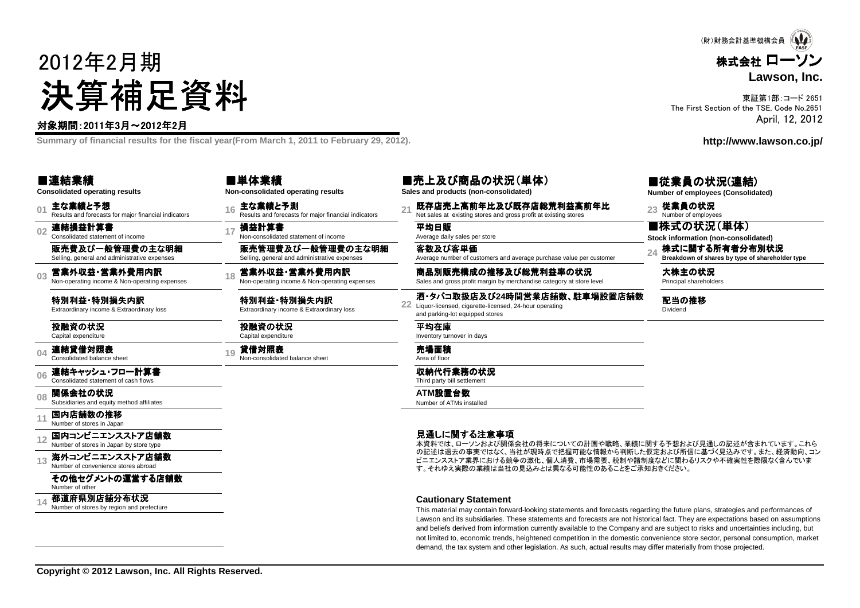# 2012年2月期決算補足資料

#### 対象期間:2011年3月~2012年2月

**Summary of financial results for the fiscal year(From March 1, 2011 to February 29, 2012).**

#### ■連結業績

**Consolidated operating results**

**01**主な業績と予想<br>Results and forecasts for maior financial indicators

**02**連結損益計算書 Consolidated statement of income

販売費及び一般管理費の主な明細Selling, general and administrative expenses

**03**営業外収益・営業外費用内訳<br>Non-operating income & Non-operating expenses

特別利益・特別損失内訳<br><sub>Extraordinary income & Extraordir</sub> Extraordinary income & Extraordinary loss

投融資の状況Capital expenditure

**04**連結貸借対照表<br>Consolidated balance sheet

**06**連結キャッシュ・フロー計算書 Consolidated statement of cash flows

**08関係会社の状況**<br>Subsidiaries and equity method affiliates

**11**国内店舗数の推移<br>Number of stores in Japan

**12**国内コンビニエンスストア店舗数<br>Number of stores in Japan by store type

**13**海外コンビニエンスストア店舗数<br>Number of convenience stores abroad

その他セグメントの運営する店舗数Number of other

**14都道府県別店舗分布状況**<br>Number of stores by region and prefecture

■単体業績**Non-consolidated operating results**

**<sup>16</sup>** 主な業績と予測 Results and forecasts for major financial indicators **<sup>21</sup>** 既存店売上高前年比及び既存店総荒利益高前年比 び既存店総荒利益高前年比 Net sales at existing stores and gross profit at existing stores **<sup>23</sup>** 従業員の状況 Number of employees

e 17 **損益計算書**<br>e Non-consolidated statement of income Average daily sales per store

販売管理費及び一般管理費の主な明細Selling, general and administrative expenses

1**8 営業外収益・営業外費用内訳 Sales and B.別販売構成の推移及び総荒利益率の状況 Sales and gross profit margin by merchandise category at store level <b>Frincipal shareholders**<br>Non-operating income & Non-operating expenses Sales and gross profit ma

特別利益 •特別損失内訳<br><sub>Extraordinary income & Extraordin</sub> Extraordinary income & Extraordinary loss**22** Liquor-licensed, cigarette-licensed, 24-hour operating<br>and parking-let caujangd starss

投融資の状況

19 **貸借対照表 インタックス こうしょうきょう 売場面積** スコック アンスティックス おおし アイディング ディスプレイ

収納代行業務の状況 Third party bill settlement

Inventory turnover in days

and parking-lot equipped stores

平均在庫

**ATM**設置台数 Number of ATMs installed

客数及び客単価

**Sales and products (non-consolidated)**

Average number of customers and average purchase value per customer

酒・タバコ取扱店及び24時間営業店舗数、駐車場設置店舗数<br>Liguor-licensed. cigarette-licensed. 24-hour operating

見通しに関する注意事項

 本資料では、ローソンおよび関係会社の将来についての計画や戦略、業績に関する予想および見通しの記述が含まれています。これら の記述は過去の事実ではなく、当社が現時点で把握可能な情報から判断した仮定および所信に基づく見込みです。また、経済動向、コンビニエンスストア業界における競争の激化、個人消費、市場需要、税制や諸制度などに関わるリスクや不確実性を際限なく含んでいます。それゆえ実際の業績は当社の見込みとは異なる可能性のあることをご承知おきください。

#### **Cautionary Statement**

 This material may contain forward-looking statements and forecasts regarding the future plans, strategies and performances of Lawson and its subsidiaries. These statements and forecasts are not historical fact. They are expectations based on assumptionsand beliefs derived from information currently available to the Company and are subject to risks and uncertainties including, but not limited to, economic trends, heightened competition in the domestic convenience store sector, personal consumption, marketdemand, the tax system and other legislation. As such, actual results may differ materially from those projected.

■売上及び商品の状況(単体)

**Number of employees (Consolidated)**

■株式の状況(単体)

**Stock information (non-consolidated)**

**<sup>24</sup>** 株式に関する所有者分布別状況 所有者分布別状況**Breakdown of shares by type of shareholder type**

配当の推移Dividend

■従業員の状況(連結)

**http://www.lawson.co.jp/**



The First Section of the TSE, Code No.2651

東証第1部:コード 2651

April, 12, 2012

Capital expenditure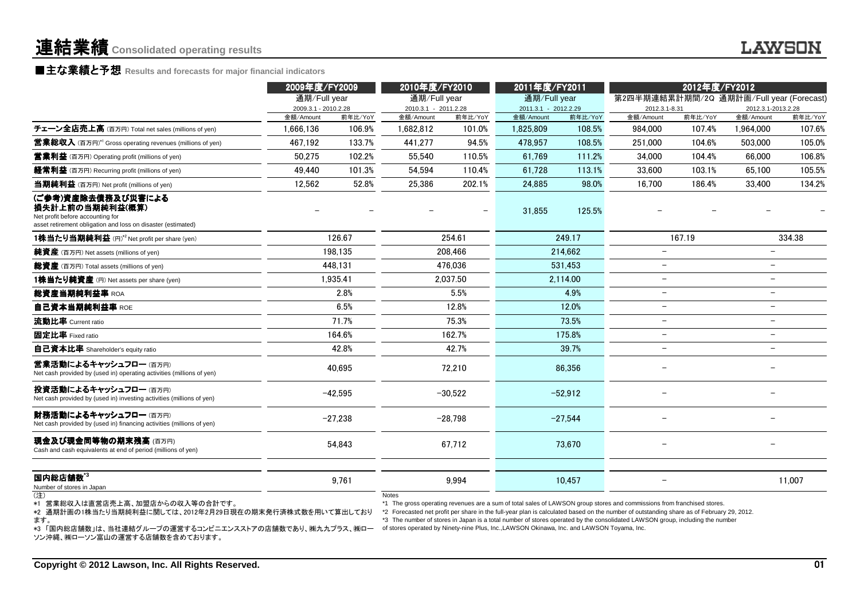### ■主な業績と予想 Results and forecasts for major financial indicators<br>←←←←←

|                                                                                                                                                                                                     | 2009年度/FY2009                        |           | 2010年度/FY2010                        |           | 2011年度/FY2011<br>通期/Full year                                                              |           |                                                                                                                                                                                                                                                                                                                                                                                                     |         |                          | 2012年度/FY2012<br>第2四半期連結累計期間/2Q 通期計画/Full year (Forecast) |  |  |  |
|-----------------------------------------------------------------------------------------------------------------------------------------------------------------------------------------------------|--------------------------------------|-----------|--------------------------------------|-----------|--------------------------------------------------------------------------------------------|-----------|-----------------------------------------------------------------------------------------------------------------------------------------------------------------------------------------------------------------------------------------------------------------------------------------------------------------------------------------------------------------------------------------------------|---------|--------------------------|-----------------------------------------------------------|--|--|--|
|                                                                                                                                                                                                     | 通期/Full year<br>2009.3.1 - 2010.2.28 |           | 通期/Full year<br>2010.3.1 - 2011.2.28 |           | 2011.3.1 - 2012.2.29                                                                       |           | 2012.3.1-8.31                                                                                                                                                                                                                                                                                                                                                                                       |         | 2012.3.1-2013.2.28       |                                                           |  |  |  |
|                                                                                                                                                                                                     | 金額/Amount                            | 前年比/YoY   | 金額/Amount                            | 前年比/YoY   | 金額/Amount                                                                                  | 前年比/YoY   | 金額/Amount                                                                                                                                                                                                                                                                                                                                                                                           | 前年比/YoY | 金額/Amount                | 前年比/YoY                                                   |  |  |  |
| チェーン全店売上高 (百万円) Total net sales (millions of yen)                                                                                                                                                   | 1.666.136                            | 106.9%    | 1.682.812                            | 101.0%    | 1,825,809                                                                                  | 108.5%    | 984.000                                                                                                                                                                                                                                                                                                                                                                                             | 107.4%  | 1.964.000                | 107.6%                                                    |  |  |  |
| <b>営業総収入</b> (百万円)* <sup>1</sup> Gross operating revenues (millions of yen)                                                                                                                         | 467,192                              | 133.7%    | 441,277                              | 94.5%     | 478,957                                                                                    | 108.5%    | 251,000                                                                                                                                                                                                                                                                                                                                                                                             | 104.6%  | 503,000                  | 105.0%                                                    |  |  |  |
| <b>営業利益</b> (百万円) Operating profit (millions of yen)                                                                                                                                                | 50.275                               | 102.2%    | 55.540                               | 110.5%    | 61.769                                                                                     | 111.2%    | 34,000                                                                                                                                                                                                                                                                                                                                                                                              | 104.4%  | 66,000                   | 106.8%                                                    |  |  |  |
| <b>経常利益</b> (百万円) Recurring profit (millions of yen)                                                                                                                                                | 49,440                               | 101.3%    | 54,594                               | 110.4%    | 61,728                                                                                     | 113.1%    | 33,600                                                                                                                                                                                                                                                                                                                                                                                              | 103.1%  | 65,100                   | 105.5%                                                    |  |  |  |
| 当期純利益 (百万円) Net profit (millions of yen)                                                                                                                                                            | 12.562                               | 52.8%     | 25,386                               | 202.1%    | 24.885                                                                                     | 98.0%     | 16.700                                                                                                                                                                                                                                                                                                                                                                                              | 186.4%  | 33,400                   | 134.2%                                                    |  |  |  |
| (ご参考)資産除去債務及び災害による<br>損失計上前の当期純利益(概算)<br>Net profit before accounting for<br>asset retirement obligation and loss on disaster (estimated)                                                           |                                      |           |                                      |           | 31,855                                                                                     | 125.5%    |                                                                                                                                                                                                                                                                                                                                                                                                     |         |                          |                                                           |  |  |  |
| 1株当たり当期純利益 (円)*2 Net profit per share (yen)                                                                                                                                                         |                                      | 126.67    |                                      | 254.61    |                                                                                            | 249.17    |                                                                                                                                                                                                                                                                                                                                                                                                     | 167.19  |                          | 334.38                                                    |  |  |  |
| <b>純資産</b> (百万円) Net assets (millions of yen)                                                                                                                                                       |                                      | 198.135   |                                      | 208.466   |                                                                                            | 214.662   |                                                                                                                                                                                                                                                                                                                                                                                                     |         |                          |                                                           |  |  |  |
| <b>総資産</b> (百万円) Total assets (millions of yen)                                                                                                                                                     |                                      | 448,131   |                                      | 476,036   |                                                                                            | 531,453   | $\overline{\phantom{0}}$                                                                                                                                                                                                                                                                                                                                                                            |         |                          |                                                           |  |  |  |
| 1株当たり純資産 (円) Net assets per share (yen)                                                                                                                                                             |                                      | 1,935.41  |                                      | 2,037.50  |                                                                                            | 2,114.00  | $\overline{\phantom{m}}$                                                                                                                                                                                                                                                                                                                                                                            |         | $\overline{\phantom{0}}$ |                                                           |  |  |  |
| 総資産当期純利益率 ROA                                                                                                                                                                                       |                                      | 2.8%      |                                      | 5.5%      |                                                                                            | 4.9%      |                                                                                                                                                                                                                                                                                                                                                                                                     |         |                          |                                                           |  |  |  |
| 自己資本当期純利益率 ROE                                                                                                                                                                                      |                                      | 6.5%      |                                      | 12.8%     |                                                                                            | 12.0%     |                                                                                                                                                                                                                                                                                                                                                                                                     |         | $\overline{\phantom{0}}$ |                                                           |  |  |  |
| 流動比率 Current ratio                                                                                                                                                                                  |                                      | 71.7%     |                                      | 75.3%     |                                                                                            | 73.5%     |                                                                                                                                                                                                                                                                                                                                                                                                     |         | $\overline{\phantom{a}}$ |                                                           |  |  |  |
| 固定比率 Fixed ratio                                                                                                                                                                                    |                                      | 164.6%    |                                      | 162.7%    |                                                                                            | 175.8%    |                                                                                                                                                                                                                                                                                                                                                                                                     |         |                          |                                                           |  |  |  |
| 自己資本比率 Shareholder's equity ratio                                                                                                                                                                   |                                      | 42.8%     |                                      | 42.7%     |                                                                                            | 39.7%     |                                                                                                                                                                                                                                                                                                                                                                                                     |         |                          |                                                           |  |  |  |
| 営業活動によるキャッシュフロー(百万円)<br>Net cash provided by (used in) operating activities (millions of yen)                                                                                                       |                                      | 40.695    |                                      | 72,210    |                                                                                            | 86,356    |                                                                                                                                                                                                                                                                                                                                                                                                     |         |                          |                                                           |  |  |  |
| 投資活動によるキャッシュフロー (百万円)<br>Net cash provided by (used in) investing activities (millions of yen)                                                                                                      |                                      | $-42.595$ |                                      | $-30,522$ |                                                                                            | $-52,912$ |                                                                                                                                                                                                                                                                                                                                                                                                     |         |                          |                                                           |  |  |  |
| 財務活動によるキャッシュフロー (百万円)<br>Net cash provided by (used in) financing activities (millions of yen)                                                                                                      |                                      | $-27,238$ |                                      | $-28,798$ |                                                                                            | $-27,544$ |                                                                                                                                                                                                                                                                                                                                                                                                     |         |                          |                                                           |  |  |  |
| <b>現金及び現金同等物の期末残高</b> (百万円)<br>Cash and cash equivalents at end of period (millions of yen)                                                                                                         |                                      | 54.843    |                                      | 67.712    |                                                                                            | 73.670    |                                                                                                                                                                                                                                                                                                                                                                                                     |         |                          |                                                           |  |  |  |
| 国内総店舗数 $^{\mathsf{i}}{}^{3}$<br>Number of stores in Japan                                                                                                                                           |                                      | 9,761     |                                      | 9,994     |                                                                                            | 10,457    |                                                                                                                                                                                                                                                                                                                                                                                                     |         |                          | 11,007                                                    |  |  |  |
| (注)<br>*1 営業総収入は直営店売上高、加盟店からの収入等の合計です。<br>*2 通期計画の1株当たり当期純利益に関しては、2012年2月29日現在の期末発行済株式数を用いて算出しており<br>ます。<br>*3 「国内総店舗数」は、当社連結グループの運営するコンビニエンスストアの店舗数であり、㈱九九プラス、㈱ロー<br>ソン沖縄、㈱ローソン富山の運営する店舗数を含めております。 |                                      |           | <b>Notes</b>                         |           | of stores operated by Ninety-nine Plus, Inc., LAWSON Okinawa, Inc. and LAWSON Toyama, Inc. |           | *1 The gross operating revenues are a sum of total sales of LAWSON group stores and commissions from franchised stores.<br>*2 Forecasted net profit per share in the full-year plan is calculated based on the number of outstanding share as of February 29, 2012.<br>*3 The number of stores in Japan is a total number of stores operated by the consolidated LAWSON group, including the number |         |                          |                                                           |  |  |  |

(注)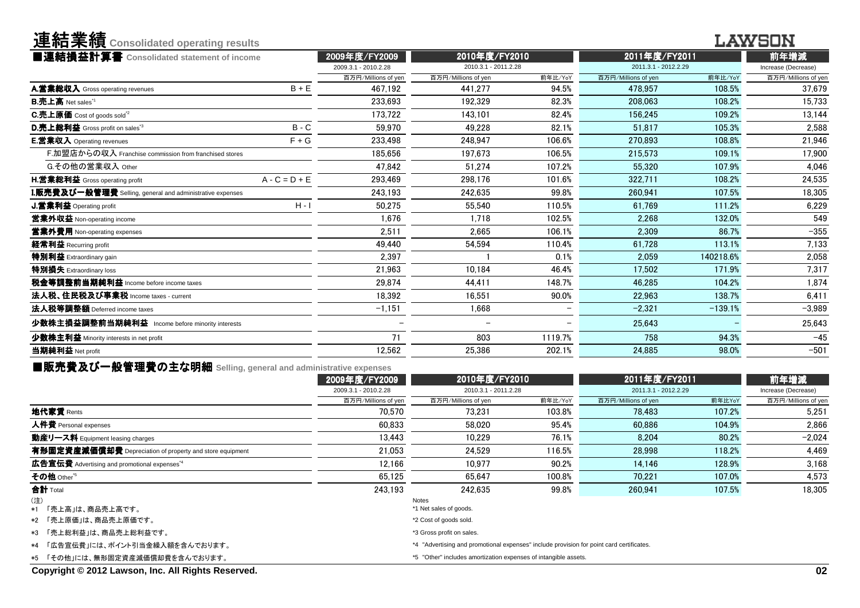| 連結業績 Consolidated operating results                              |                                       |                                       |         |                                       |           | I AWSON                     |
|------------------------------------------------------------------|---------------------------------------|---------------------------------------|---------|---------------------------------------|-----------|-----------------------------|
| ■連結損益計算書 Consolidated statement of income                        | 2009年度/FY2009<br>2009.3.1 - 2010.2.28 | 2010年度/FY2010<br>2010.3.1 - 2011.2.28 |         | 2011年度/FY2011<br>2011.3.1 - 2012.2.29 |           | 前年増減<br>Increase (Decrease) |
|                                                                  | 百万円/Millions of yen                   | 百万円/Millions of yen                   | 前年比/YoY | 百万円/Millions of yen                   | 前年比/YoY   | 百万円/Millions of yer         |
| $B + E$<br>A.営業総収入 Gross operating revenues                      | 467.192                               | 441.277                               | 94.5%   | 478.957                               | 108.5%    | 37.679                      |
| <b>B.売上高</b> Net sales <sup>"1</sup>                             | 233.693                               | 192.329                               | 82.3%   | 208.063                               | 108.2%    | 15.733                      |
| C.売上原価 Cost of goods sold <sup>"2</sup>                          | 173.722                               | 143.101                               | 82.4%   | 156.245                               | 109.2%    | 13.144                      |
| $B - C$<br>D.売上総利益 Gross profit on sales <sup>3</sup>            | 59.970                                | 49.228                                | 82.1%   | 51.817                                | 105.3%    | 2,588                       |
| $F + G$<br><b>E.営業収入</b> Operating revenues                      | 233.498                               | 248.947                               | 106.6%  | 270.893                               | 108.8%    | 21,946                      |
| F.加盟店からの収入 Franchise commission from franchised stores           | 185.656                               | 197.673                               | 106.5%  | 215.573                               | 109.1%    | 17.900                      |
| G.その他の営業収入 Other                                                 | 47.842                                | 51.274                                | 107.2%  | 55.320                                | 107.9%    | 4,046                       |
| $A - C = D + E$<br>H.営業総利益 Gross operating profit                | 293.469                               | 298.176                               | 101.6%  | 322,711                               | 108.2%    | 24,535                      |
| <b>I.販売費及び一般管理費</b> Selling, general and administrative expenses | 243.193                               | 242.635                               | 99.8%   | 260.941                               | 107.5%    | 18,305                      |
| $H - I$<br>J.営業利益 Operating profit                               | 50,275                                | 55.540                                | 110.5%  | 61.769                                | 111.2%    | 6,229                       |
| 當業外収益 Non-operating income                                       | 1.676                                 | 1.718                                 | 102.5%  | 2.268                                 | 132.0%    | 549                         |
| 営業外費用 Non-operating expenses                                     | 2.511                                 | 2.665                                 | 106.1%  | 2.309                                 | 86.7%     | $-355$                      |
| 経常利益 Recurring profit                                            | 49.440                                | 54.594                                | 110.4%  | 61.728                                | 113.1%    | 7,133                       |
| 特別利益 Extraordinary gain                                          | 2,397                                 |                                       | 0.1%    | 2.059                                 | 140218.6% | 2.058                       |
| 特別損失 Extraordinary loss                                          | 21,963                                | 10.184                                | 46.4%   | 17.502                                | 171.9%    | 7.317                       |
| 税金等調整前当期純利益 Income before income taxes                           | 29,874                                | 44,411                                | 148.7%  | 46,285                                | 104.2%    | 1,874                       |
| 法人税、住民税及び事業税 Income taxes - current                              | 18.392                                | 16.551                                | 90.0%   | 22.963                                | 138.7%    | 6.411                       |
| 法人税等調整額 Deferred income taxes                                    | $-1,151$                              | 1.668                                 |         | $-2.321$                              | $-139.1%$ | $-3.989$                    |
| 少数株主損益調整前当期純利益 Income before minority interests                  |                                       |                                       |         | 25.643                                |           | 25.643                      |
| 少数株主利益 Minority interests in net profit                          | 71                                    | 803                                   | 1119.7% | 758                                   | 94.3%     | $-45$                       |
| 当期純利益 Net profit                                                 | 12.562                                | 25.386                                | 202.1%  | 24.885                                | 98.0%     | $-501$                      |
|                                                                  |                                       |                                       |         |                                       |           |                             |

**■販売費及び一般管理費の主な明細** Selling, general and administrative expenses<br>2009年度/FY200

|                                                          | 2009年度/FY2009        | 2010年度/FY2010                                                                            |         | 2011年度/FY2011        |        | 前年増減                |
|----------------------------------------------------------|----------------------|------------------------------------------------------------------------------------------|---------|----------------------|--------|---------------------|
|                                                          | 2009.3.1 - 2010.2.28 | 2010.3.1 - 2011.2.28                                                                     |         | 2011.3.1 - 2012.2.29 |        | Increase (Decrease) |
|                                                          | 百万円/Millions of yen  | 百万円/Millions of yen                                                                      | 前年比/YoY | 百万円/Millions of yen  | 前年比YoY | 百万円/Millions of yen |
| <b>地代家賃</b> Rents                                        | 70.570               | 73.231                                                                                   | 103.8%  | 78,483               | 107.2% | 5,251               |
| 人件費 Personal expenses                                    | 60.833               | 58.020                                                                                   | 95.4%   | 60.886               | 104.9% | 2.866               |
| 動産リース料 Equipment leasing charges                         | 13.443               | 10.229                                                                                   | 76.1%   | 8.204                | 80.2%  | $-2,024$            |
| 有形固定資産減価償却費 Depreciation of property and store equipment | 21.053               | 24.529                                                                                   | 116.5%  | 28,998               | 118.2% | 4.469               |
| 広告宣伝費 Advertising and promotional expenses <sup>*4</sup> | 12.166               | 10.977                                                                                   | 90.2%   | 14.146               | 128.9% | 3.168               |
| その他 Other <sup>*5</sup>                                  | 65.125               | 65.647                                                                                   | 100.8%  | 70,221               | 107.0% | 4,573               |
| 合計 Total                                                 | 243.193              | 242.635                                                                                  | 99.8%   | 260,941              | 107.5% | 18.305              |
| (注)                                                      |                      | Notes                                                                                    |         |                      |        |                     |
| *1 「売上高」は、商品売上高です。                                       |                      | *1 Net sales of goods.                                                                   |         |                      |        |                     |
| *2 「売上原価」は、商品売上原価です。                                     |                      | *2 Cost of goods sold.                                                                   |         |                      |        |                     |
| *3 「売上総利益」は、商品売上総利益です。                                   |                      | *3 Gross profit on sales.                                                                |         |                      |        |                     |
| *4 「広告宣伝費」には、ポイント引当金繰入額を含んでおります。                         |                      | *4 "Advertising and promotional expenses" include provision for point card certificates. |         |                      |        |                     |
| *5 「その他」には、無形固定資産減価償却費を含んでおります。                          |                      | *5 "Other" includes amortization expenses of intangible assets.                          |         |                      |        |                     |
|                                                          |                      |                                                                                          |         |                      |        |                     |

**Copyright © 2012 Lawson, Inc. All Rights Reserved.**

**Y击 《士 <del>业</del> 《主**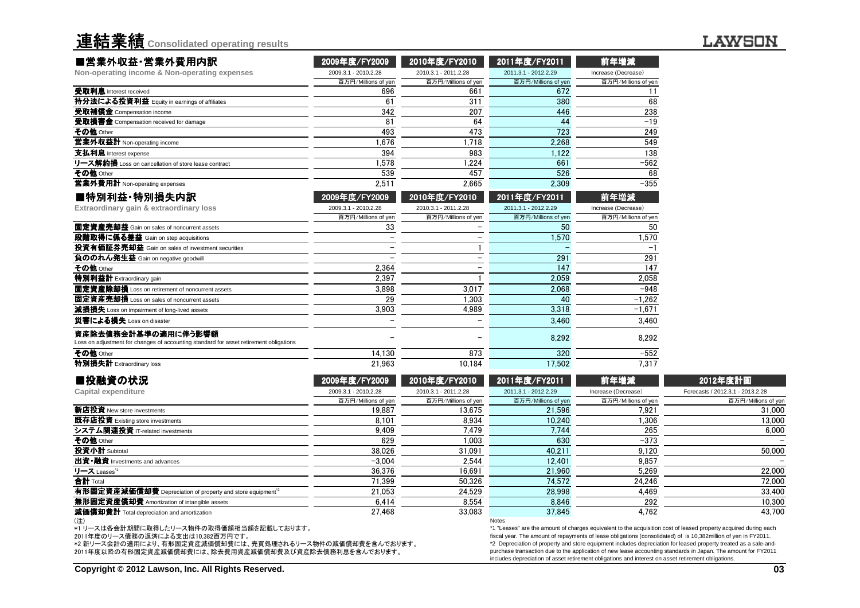| 連結業績 Consolidated operating results |  |  |
|-------------------------------------|--|--|

#### **LAWSON**

| ■営業外収益·営業外費用内訳                                                                                                | 2009年度/FY2009        | 2010年度/FY2010        | 2011年度/FY2011        | 前年増減                |                                  |
|---------------------------------------------------------------------------------------------------------------|----------------------|----------------------|----------------------|---------------------|----------------------------------|
| Non-operating income & Non-operating expenses                                                                 | 2009.3.1 - 2010.2.28 | 2010.3.1 - 2011.2.28 | 2011.3.1 - 2012.2.29 | Increase (Decrease) |                                  |
|                                                                                                               | 百万円/Millions of yen  | 百万円/Millions of yen  | 百万円/Millions of yen  | 百万円/Millions of yen |                                  |
| 受取利息 Interest received                                                                                        | 696                  | 661                  | 672                  | 11                  |                                  |
| 持分法による投資利益 Equity in earnings of affiliates                                                                   | 61                   | 311                  | 380                  | 68                  |                                  |
| 受取補償金 Compensation income                                                                                     | 342                  | 207                  | 446                  | 238                 |                                  |
| 受取損害金 Compensation received for damage                                                                        | 8 <sup>1</sup>       | 64                   | 44                   | $-19$               |                                  |
| その他 Other                                                                                                     | 493                  | 473                  | 723                  | 249                 |                                  |
| 営業外収益計 Non-operating income                                                                                   | 1.676                | 1.718                | 2,268                | 549                 |                                  |
| 支払利息 Interest expense                                                                                         | 394                  | 983                  | 1,122                | 138                 |                                  |
| リース解約損 Loss on cancellation of store lease contract                                                           | 1.578                | .224                 | 661                  | $-562$              |                                  |
| その他 Other                                                                                                     | 539                  | 457                  | 526                  | 68                  |                                  |
| 営業外費用計 Non-operating expenses                                                                                 | 2.511                | 2.665                | 2.309                | $-355$              |                                  |
| ■特別利益·特別損失内訳                                                                                                  | 2009年度/FY2009        | 2010年度/FY2010        | 2011年度/FY2011        | 前年増減                |                                  |
| Extraordinary gain & extraordinary loss                                                                       | 2009.3.1 - 2010.2.28 | 2010.3.1 - 2011.2.28 | 2011.3.1 - 2012.2.29 | Increase (Decrease) |                                  |
|                                                                                                               | 百万円/Millions of yen  | 百万円/Millions of yen  | 百万円/Millions of yen  | 百万円/Millions of yen |                                  |
| 固定資産売却益 Gain on sales of noncurrent assets                                                                    | 33                   |                      | 50                   | 50                  |                                  |
| 段階取得に係る差益 Gain on step acquisitions                                                                           |                      |                      | 1,570                | 1,570               |                                  |
| 投資有価証券売却益 Gain on sales of investment securities                                                              |                      |                      |                      |                     |                                  |
| 負ののれん発生益 Gain on negative goodwill                                                                            |                      |                      | 291                  | 291                 |                                  |
| その他 Other                                                                                                     | 2.364                |                      | 147                  | 147                 |                                  |
| 特別利益計 Extraordinary gain                                                                                      | 2.397                |                      | 2,059                | 2.058               |                                  |
| 固定資産除却損 Loss on retirement of noncurrent assets                                                               | 3,898                | 3.017                | 2,068                | $-948$              |                                  |
| 固定資産売却損 Loss on sales of noncurrent assets                                                                    | 29                   | 1.303                | 40                   | $-1.262$            |                                  |
| 減損損失 Loss on impairment of long-lived assets                                                                  | 3.903                | 4.989                | 3.318                | $-1.671$            |                                  |
| 災害による損失 Loss on disaster                                                                                      |                      |                      | 3.460                | 3.460               |                                  |
| 資産除去債務会計基準の適用に伴う影響額<br>Loss on adjustment for changes of accounting standard for asset retirement obligations |                      |                      | 8,292                | 8.292               |                                  |
| その他 Other                                                                                                     | 14.130               | 873                  | 320                  | $-552$              |                                  |
| 特別損失計 Extraordinary loss                                                                                      | 21,963               | 10.184               | 17.502               | 7.317               |                                  |
| ■投融資の状況                                                                                                       | 2009年度/FY2009        | 2010年度/FY2010        | 2011年度/FY2011        | 前年増減                | 2012年度計画                         |
| <b>Capital expenditure</b>                                                                                    | 2009.3.1 - 2010.2.28 | 2010.3.1 - 2011.2.28 | 2011.3.1 - 2012.2.29 | Increase (Decrease) | Forecasts / 2012.3.1 - 2013.2.28 |
|                                                                                                               | 百万円/Millions of yen  | 百万円/Millions of yen  | 百万円/Millions of yen  | 百万円/Millions of yer | 百万円/Millions                     |
| 新店投資 New store investments                                                                                    | 19.887               | 13.675               | 21.596               | 7.921               |                                  |

|                                                                                      | 百万円/Millions of yen | 百万円/Millions of yen | 百万円/Millions of yen | 百万円/Millions of yen | 百万円/Millions of yen                                                                                                                                                                                                                  |
|--------------------------------------------------------------------------------------|---------------------|---------------------|---------------------|---------------------|--------------------------------------------------------------------------------------------------------------------------------------------------------------------------------------------------------------------------------------|
| 新店投資 New store investments                                                           | 19.887              | 13.675              | 21.596              | 7.921               | 31,000                                                                                                                                                                                                                               |
| 既存店投資 Existing store investments                                                     | 8.101               | 8.934               | 10.240              | 1,306               | 13.000                                                                                                                                                                                                                               |
| システム関連投資 IT-related investments                                                      | 9.409               | 7.479               | 7.744               | 265                 | 6.000                                                                                                                                                                                                                                |
| その他 Other                                                                            | 629                 | 1.003               | 630                 | $-373$              |                                                                                                                                                                                                                                      |
| 投資小計 Subtotal                                                                        | 38.026              | 31.091              | 40.211              | 9.120               | 50.000                                                                                                                                                                                                                               |
| <b>出資•融資</b> Investments and advances                                                | $-3.004$            | 2.544               | 12.401              | 9.857               |                                                                                                                                                                                                                                      |
| リース Leases"                                                                          | 36.376              | 16.691              | 21.960              | 5.269               | 22.000                                                                                                                                                                                                                               |
| <b>合計</b> Total                                                                      | 71.399              | 50.326              | 74.572              | 24.246              | 72.000                                                                                                                                                                                                                               |
| 有形固定資産減価償却費 Depreciation of property and store equipment <sup>2</sup>                | 21.053              | 24.529              | 28,998              | 4.469               | 33.400                                                                                                                                                                                                                               |
| <b>無形固定資産償却費</b> Amortization of intangible assets                                   | 6.414               | 8.554               | 8.846               | 292                 | 10.300                                                                                                                                                                                                                               |
| 減価償却費計 Total depreciation and amortization                                           | 27.468              | 33.083              | 37.845              | 4.762               | 43.700                                                                                                                                                                                                                               |
| (注)<br>*1 リースは各会計期間に取得したリース物件の取得価額相当額を記載しております。<br>2011年度のリース債務の返済による支出は10,382百万円です。 |                     |                     | Notes               |                     | *1 "Leases" are the amount of charges equivalent to the acquisition cost of leased property acquired during each<br>fiscal year. The amount of repayments of lease obligations (consolidated) of is 10,382 million of yen in FY2011. |

\*2 新リース会計の適用により、有形固定資産減価償却費には、売買処理されるリース物件の減価償却費を含んでおります。 2011年度以降の有形固定資産減価償却費には、除去費用資産減価償却費及び資産除去債務利息を含んでおります。

 \*1 "Leases" are the amount of charges equivalent to the acquisition cost of leased property acquired during each fiscal year. The amount of repayments of lease obligations (consolidated) of is 10,382million of yen in FY2011. \*2 Depreciation of property and store equipment includes depreciation for leased property treated as a sale-andpurchase transaction due to the application of new lease accounting standards in Japan. The amount for FY2011includes depreciation of asset retirement obligations and interest on asset retirement obligations.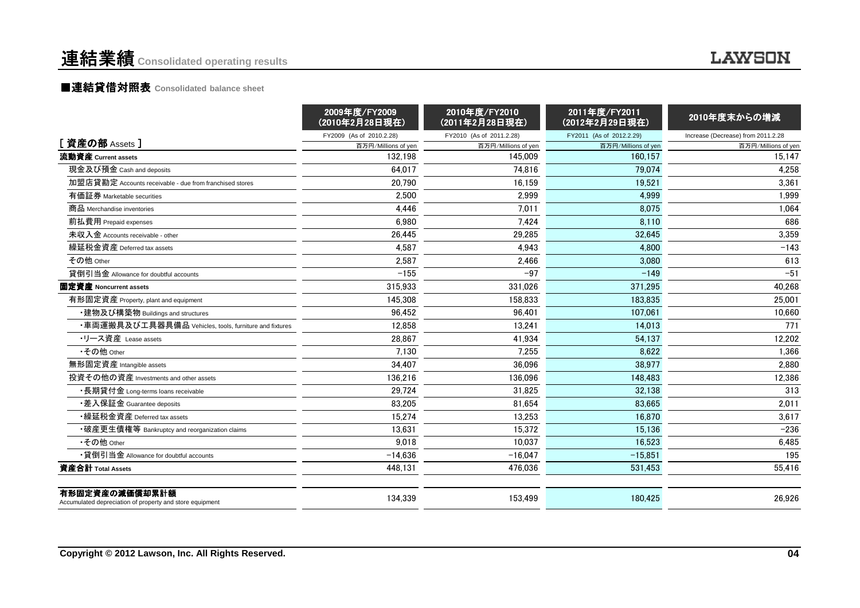#### ■連結貸借対照表 Consolidated balance sheet

|                                                                            | 2009年度/FY2009<br>(2010年2月28日現在) | 2010年度/FY2010<br>(2011年2月28日現在) | 2011年度/FY2011<br>(2012年2月29日現在) | 2010年度末からの増減                       |
|----------------------------------------------------------------------------|---------------------------------|---------------------------------|---------------------------------|------------------------------------|
|                                                                            | FY2009 (As of 2010.2.28)        | FY2010 (As of 2011.2.28)        | FY2011 (As of 2012.2.29)        | Increase (Decrease) from 2011.2.28 |
| [資産の部 Assets ]                                                             | 百万円/Millions of yer             | 百万円/Millions of yen             | 百万円/Millions of yen             | 百万円/Millions of yen                |
| 流動資産 Current assets                                                        | 132.198                         | 145,009                         | 160.157                         | 15.147                             |
| 現金及び預金 Cash and deposits                                                   | 64.017                          | 74.816                          | 79.074                          | 4.258                              |
| 加盟店貸勘定 Accounts receivable - due from franchised stores                    | 20,790                          | 16.159                          | 19,521                          | 3,361                              |
| 有価証券 Marketable securities                                                 | 2,500                           | 2,999                           | 4,999                           | 1,999                              |
| 商品 Merchandise inventories                                                 | 4.446                           | 7,011                           | 8.075                           | 1,064                              |
| 前払費用 Prepaid expenses                                                      | 6.980                           | 7.424                           | 8.110                           | 686                                |
| 未収入金 Accounts receivable - other                                           | 26.445                          | 29,285                          | 32.645                          | 3,359                              |
| 繰延税金資産 Deferred tax assets                                                 | 4,587                           | 4,943                           | 4,800                           | $-143$                             |
| その他 Other                                                                  | 2,587                           | 2,466                           | 3,080                           | 613                                |
| 貸倒引当金 Allowance for doubtful accounts                                      | $-155$                          | $-97$                           | $-149$                          | $-51$                              |
| 固定資産 Noncurrent assets                                                     | 315.933                         | 331.026                         | 371.295                         | 40.268                             |
| 有形固定資産 Property, plant and equipment                                       | 145,308                         | 158.833                         | 183,835                         | 25,001                             |
| ・建物及び構築物 Buildings and structures                                          | 96,452                          | 96,401                          | 107.061                         | 10,660                             |
| ・車両運搬具及び工具器具備品 Vehicles, tools, furniture and fixtures                     | 12.858                          | 13.241                          | 14.013                          | 771                                |
| ・リース資産 Lease assets                                                        | 28.867                          | 41.934                          | 54.137                          | 12,202                             |
| •その他 Other                                                                 | 7.130                           | 7,255                           | 8,622                           | 1,366                              |
| 無形固定資産 Intangible assets                                                   | 34,407                          | 36.096                          | 38,977                          | 2,880                              |
| 投資その他の資産 Investments and other assets                                      | 136,216                         | 136,096                         | 148,483                         | 12,386                             |
| ・長期貸付金 Long-terms loans receivable                                         | 29.724                          | 31.825                          | 32.138                          | 313                                |
| •差入保証金 Guarantee deposits                                                  | 83.205                          | 81.654                          | 83.665                          | 2.011                              |
| •繰延税金資産 Deferred tax assets                                                | 15,274                          | 13,253                          | 16,870                          | 3,617                              |
| •破産更生債権等 Bankruptcy and reorganization claims                              | 13,631                          | 15,372                          | 15,136                          | $-236$                             |
| •その他 Other                                                                 | 9,018                           | 10.037                          | 16,523                          | 6,485                              |
| •貸倒引当金 Allowance for doubtful accounts                                     | $-14.636$                       | $-16.047$                       | $-15.851$                       | 195                                |
| 資産合計 Total Assets                                                          | 448,131                         | 476,036                         | 531,453                         | 55,416                             |
| 有形固定資産の減価償却累計額<br>Accumulated depreciation of property and store equipment | 134.339                         | 153.499                         | 180.425                         | 26.926                             |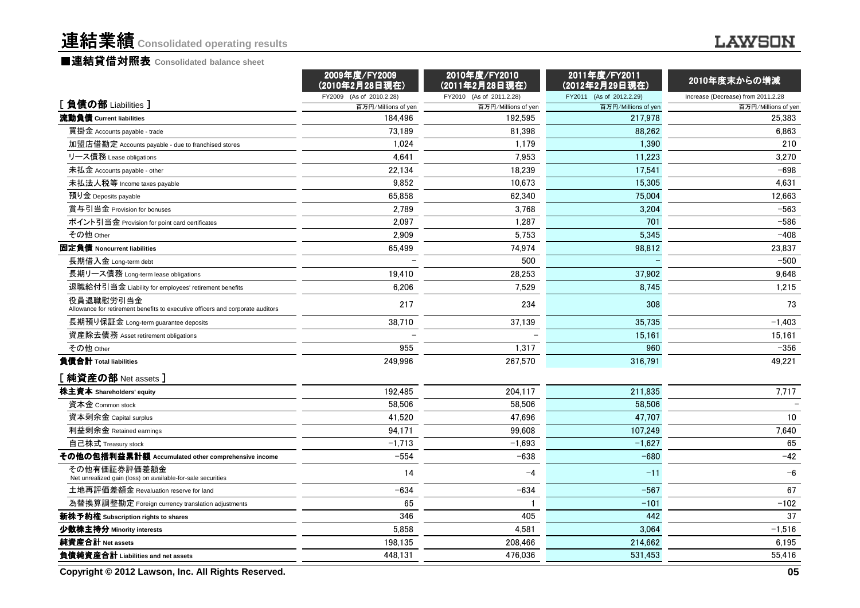#### ■連結貸借対照表 Consolidated balance sheet

#### **LAWSON**

|                                                                                             | 2009年度/FY2009<br>(2010年2月28日現在) | 2010年度/FY2010<br>(2011年2月28日現在) | 2011年度/FY2011<br>(2012年2月29日現在) | 2010年度末からの増減                       |
|---------------------------------------------------------------------------------------------|---------------------------------|---------------------------------|---------------------------------|------------------------------------|
|                                                                                             | FY2009 (As of 2010.2.28)        | FY2010 (As of 2011.2.28)        | FY2011 (As of 2012.2.29)        | Increase (Decrease) from 2011.2.28 |
| [負債の部 Liabilities ]                                                                         | 百万円/Millions of yen             | 百万円/Millions of yen             | 百万円/Millions of yen             | 百万円/Millions of yen                |
| 流動負債 Current liabilities                                                                    | 184,496                         | 192,595                         | 217,978                         | 25,383                             |
| 買掛金 Accounts payable - trade                                                                | 73.189                          | 81.398                          | 88.262                          | 6,863                              |
| 加盟店借勘定 Accounts payable - due to franchised stores                                          | 1.024                           | 1,179                           | 1,390                           | 210                                |
| リース債務 Lease obligations                                                                     | 4,641                           | 7,953                           | 11,223                          | 3,270                              |
| 未払金 Accounts payable - other                                                                | 22,134                          | 18,239                          | 17,541                          | $-698$                             |
| 未払法人税等 Income taxes payable                                                                 | 9,852                           | 10,673                          | 15,305                          | 4,631                              |
| 預り金 Deposits payable                                                                        | 65,858                          | 62.340                          | 75,004                          | 12,663                             |
| 賞与引当金 Provision for bonuses                                                                 | 2.789                           | 3,768                           | 3,204                           | $-563$                             |
| ポイント引当金 Provision for point card certificates                                               | 2,097                           | 1,287                           | 701                             | $-586$                             |
| その他 Other                                                                                   | 2,909                           | 5,753                           | 5,345                           | $-408$                             |
| 固定負債 Noncurrent liabilities                                                                 | 65,499                          | 74,974                          | 98,812                          | 23,837                             |
| 長期借入金 Long-term debt                                                                        |                                 | 500                             |                                 | $-500$                             |
| 長期リース債務 Long-term lease obligations                                                         | 19.410                          | 28.253                          | 37.902                          | 9,648                              |
| 退職給付引当金 Liability for employees' retirement benefits                                        | 6,206                           | 7,529                           | 8,745                           | 1,215                              |
| 役員退職慰労引当金<br>Allowance for retirement benefits to executive officers and corporate auditors | 217                             | 234                             | 308                             | 73                                 |
| 長期預り保証金 Long-term guarantee deposits                                                        | 38,710                          | 37,139                          | 35,735                          | $-1,403$                           |
| 資産除去債務 Asset retirement obligations                                                         |                                 |                                 | 15,161                          | 15,161                             |
| その他 Other                                                                                   | 955                             | 1,317                           | 960                             | $-356$                             |
| 負債合計 Total liabilities                                                                      | 249.996                         | 267,570                         | 316,791                         | 49,221                             |
| [ 純資産の部 Net assets ]                                                                        |                                 |                                 |                                 |                                    |
| 株主資本 Shareholders' equity                                                                   | 192.485                         | 204,117                         | 211,835                         | 7,717                              |
| 資本金 Common stock                                                                            | 58,506                          | 58,506                          | 58,506                          |                                    |
| 資本剰余金 Capital surplus                                                                       | 41,520                          | 47,696                          | 47,707                          | 10                                 |
| 利益剰余金 Retained earnings                                                                     | 94,171                          | 99.608                          | 107.249                         | 7,640                              |
| 自己株式 Treasury stock                                                                         | $-1,713$                        | $-1,693$                        | $-1,627$                        | 65                                 |
| その他の包括利益累計額 Accumulated other comprehensive income                                          | $-554$                          | $-638$                          | $-680$                          | $-42$                              |
| その他有価証券評価差額金<br>Net unrealized gain (loss) on available-for-sale securities                 | 14                              | $-4$                            | $-11$                           | $-6$                               |
| 土地再評価差額金 Revaluation reserve for land                                                       | $-634$                          | $-634$                          | $-567$                          | 67                                 |
| 為替換算調整勘定 Foreign currency translation adjustments                                           | 65                              |                                 | $-101$                          | $-102$                             |
| 新株予約権 Subscription rights to shares                                                         | 346                             | 405                             | 442                             | 37                                 |
| 少数株主持分 Minority interests                                                                   | 5,858                           | 4,581                           | 3,064                           | $-1,516$                           |
| 純資産合計 Net assets                                                                            | 198,135                         | 208,466                         | 214,662                         | 6,195                              |
| 負債純資産合計 Liabilities and net assets                                                          | 448,131                         | 476,036                         | 531,453                         | 55,416                             |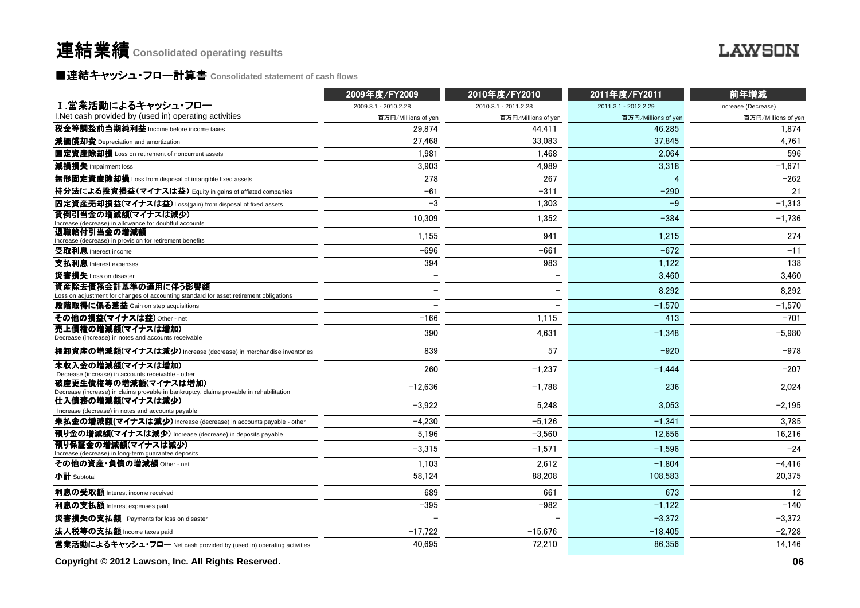### ■連結キャッシュ・フロー計算書 Consolidated statement of cash flows<br>————————————————————

|                                                                                                                 | 2009年度/FY2009        | 2010年度/FY2010            | 2011年度/FY2011        | 前年増減                |
|-----------------------------------------------------------------------------------------------------------------|----------------------|--------------------------|----------------------|---------------------|
| Ⅰ.営業活動によるキャッシュ・フロー                                                                                              | 2009.3.1 - 2010.2.28 | 2010.3.1 - 2011.2.28     | 2011.3.1 - 2012.2.29 | Increase (Decrease) |
| I. Net cash provided by (used in) operating activities                                                          | 百万円/Millions of yen  | 百万円/Millions of yen      | 百万円/Millions of yen  | 百万円/Millions of yen |
| 税金等調整前当期純利益 Income before income taxes                                                                          | 29.874               | 44.411                   | 46.285               | 1.874               |
| 減価償却費 Depreciation and amortization                                                                             | 27.468               | 33.083                   | 37.845               | 4.761               |
| 固定資産除却損 Loss on retirement of noncurrent assets                                                                 | 1,981                | 1,468                    | 2,064                | 596                 |
| 減損損失 Impairment loss                                                                                            | 3.903                | 4.989                    | 3.318                | $-1,671$            |
| 無形固定資産除却損 Loss from disposal of intangible fixed assets                                                         | 278                  | 267                      | 4                    | $-262$              |
| 持分法による投資損益(マイナスは益) Equity in gains of affiated companies                                                        | $-61$                | $-311$                   | $-290$               | 21                  |
| 固定資産売却損益(マイナスは益) Loss(gain) from disposal of fixed assets                                                       | $-3$                 | 1,303                    | $-9$                 | $-1,313$            |
| 貸倒引当金の増減額(マイナスは減少)<br>Increase (decrease) in allowance for doubtful accounts                                    | 10.309               | 1,352                    | $-384$               | $-1,736$            |
| 退職給付引当金の増減額<br>Increase (decrease) in provision for retirement benefits                                         | 1.155                | 941                      | 1,215                | 274                 |
| 受取利息 Interest income                                                                                            | $-696$               | $-661$                   | $-672$               | $-11$               |
| 支払利息 Interest expenses                                                                                          | 394                  | 983                      | 1,122                | 138                 |
| 災害損失 Loss on disaster                                                                                           |                      | $\overline{\phantom{0}}$ | 3,460                | 3,460               |
| 資産除去債務会計基準の適用に伴う影響額<br>Loss on adjustment for changes of accounting standard for asset retirement obligations   |                      | $\overline{\phantom{0}}$ | 8,292                | 8,292               |
| 段階取得に係る差益 Gain on step acquisitions                                                                             |                      |                          | $-1,570$             | $-1,570$            |
| その他の損益(マイナスは益) Other - net                                                                                      | $-166$               | 1,115                    | 413                  | $-701$              |
| 売上債権の増減額(マイナスは増加)<br>Decrease (increase) in notes and accounts receivable                                       | 390                  | 4.631                    | $-1.348$             | $-5.980$            |
| 棚卸資産の増減額(マイナスは減少) Increase (decrease) in merchandise inventories                                                | 839                  | 57                       | $-920$               | $-978$              |
| 未収入金の増減額(マイナスは増加)<br>Decrease (increase) in accounts receivable - other                                         | 260                  | $-1,237$                 | $-1,444$             | $-207$              |
| 破産更生債権等の増減額(マイナスは増加)<br>Decrease (increase) in claims provable in bankruptcy, claims provable in rehabilitation | $-12,636$            | $-1,788$                 | 236                  | 2,024               |
| 仕入債務の増減額(マイナスは減少)<br>Increase (decrease) in notes and accounts payable                                          | $-3,922$             | 5,248                    | 3,053                | $-2,195$            |
| 未払金の増減額(マイナスは減少) Increase (decrease) in accounts payable - other                                                | $-4,230$             | $-5.126$                 | $-1.341$             | 3,785               |
| 預り金の増減額(マイナスは減少) Increase (decrease) in deposits payable                                                        | 5,196                | $-3.560$                 | 12.656               | 16.216              |
| 預り保証金の増減額(マイナスは減少)<br>Increase (decrease) in long-term guarantee deposits                                       | $-3,315$             | $-1.571$                 | $-1.596$             | $-24$               |
| その他の資産·負債の増減額 Other - net                                                                                       | 1,103                | 2,612                    | $-1,804$             | $-4,416$            |
| 小計 Subtotal                                                                                                     | 58,124               | 88,208                   | 108.583              | 20,375              |
| 利息の受取額 Interest income received                                                                                 | 689                  | 661                      | 673                  | 12                  |
| 利息の支払額 Interest expenses paid                                                                                   | $-395$               | $-982$                   | $-1,122$             | $-140$              |
| 災害損失の支払額 Payments for loss on disaster                                                                          |                      |                          | $-3.372$             | $-3.372$            |
| 法人税等の支払額 Income taxes paid                                                                                      | $-17.722$            | $-15,676$                | $-18,405$            | $-2,728$            |
| 営業活動によるキャッシュ・フロー Net cash provided by (used in) operating activities                                            | 40,695               | 72.210                   | 86.356               | 14,146              |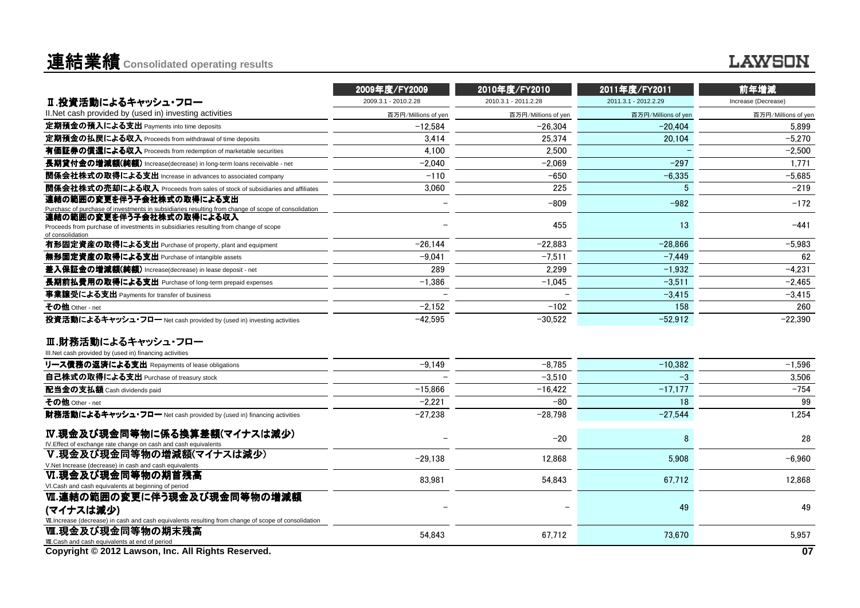### 連結業績**Consolidated operating results**

|                                                                                                                  | 2009年度/FY2009        | 2010年度/FY2010        | 2011年度/FY2011        | 前年増減                |
|------------------------------------------------------------------------------------------------------------------|----------------------|----------------------|----------------------|---------------------|
| Ⅱ.投資活動によるキャッシュ・フロー                                                                                               | 2009.3.1 - 2010.2.28 | 2010.3.1 - 2011.2.28 | 2011.3.1 - 2012.2.29 | Increase (Decrease) |
| II. Net cash provided by (used in) investing activities                                                          | 百万円/Millions of yen  | 百万円/Millions of yen  | 百万円/Millions of yen  | 百万円/Millions of yen |
| 定期預金の預入による支出 Payments into time deposits                                                                         | $-12,584$            | $-26,304$            | $-20,404$            | 5.899               |
| 定期預金の払戻による収入 Proceeds from withdrawal of time deposits                                                           | 3.414                | 25,374               | 20,104               | $-5,270$            |
| 有価証券の償還による収入 Proceeds from redemption of marketable securities                                                   | 4,100                | 2,500                |                      | $-2,500$            |
| 長期貸付金の増減額(純額) Increase(decrease) in long-term loans receivable - net                                             | $-2.040$             | $-2.069$             | $-297$               | 1,771               |
| 関係会社株式の取得による支出 Increase in advances to associated company                                                        | $-110$               | $-650$               | $-6,335$             | $-5.685$            |
| 関係会社株式の売却による収入 Proceeds from sales of stock of subsidiaries and affiliates                                       | 3,060                | 225                  | 5                    | $-219$              |
| 連結の範囲の変更を伴う子会社株式の取得による支出                                                                                         |                      | $-809$               | $-982$               | $-172$              |
| Purchasc of purchase of investments in subsidiaries resulting from change of scope of consolidation              |                      |                      |                      |                     |
| 連結の範囲の変更を伴う子会社株式の取得による収入<br>Proceeds from purchase of investments in subsidiaries resulting from change of scope |                      | 455                  | 13                   | $-441$              |
| of consolidation                                                                                                 |                      |                      |                      |                     |
| 有形固定資産の取得による支出 Purchase of property, plant and equipment                                                         | $-26.144$            | $-22,883$            | $-28,866$            | $-5,983$            |
| 無形固定資産の取得による支出 Purchase of intangible assets                                                                     | $-9.041$             | $-7.511$             | $-7.449$             | 62                  |
| 差入保証金の増減額(純額) Increase(decrease) in lease deposit - net                                                          | 289                  | 2,299                | $-1,932$             | $-4,231$            |
| 長期前払費用の取得による支出 Purchase of long-term prepaid expenses                                                            | $-1,386$             | $-1.045$             | $-3,511$             | $-2,465$            |
| 事業讓受による支出 Payments for transfer of business                                                                      |                      |                      | $-3,415$             | $-3,415$            |
| その他 Other - net                                                                                                  | $-2,152$             | $-102$               | 158                  | 260                 |
| 投資活動によるキャッシュ・フロー Net cash provided by (used in) investing activities                                             | $-42.595$            | $-30.522$            | $-52.912$            | $-22.390$           |
|                                                                                                                  |                      |                      |                      |                     |
| Ⅲ.財務活動によるキャッシュ・フロー                                                                                               |                      |                      |                      |                     |
| III.Net cash provided by (used in) financing activities                                                          | $-9,149$             | $-8,785$             | $-10,382$            | $-1,596$            |
| リース債務の返済による支出 Repayments of lease obligations                                                                    |                      |                      |                      |                     |
| 自己株式の取得による支出 Purchase of treasury stock                                                                          |                      | $-3,510$             | $-3$                 | 3,506               |
| 配当金の支払額 Cash dividends paid                                                                                      | $-15.866$            | $-16.422$            | $-17.177$            | $-754$              |
| その他 Other - net                                                                                                  | $-2,221$             | $-80$                | 18                   | 99                  |
| 財務活動によるキャッシュ・フロー Net cash provided by (used in) financing activities                                             | $-27.238$            | $-28.798$            | $-27,544$            | 1,254               |
| Ⅳ.現金及び現金同等物に係る換算差額(マイナスは減少)                                                                                      |                      | $-20$                | 8                    | 28                  |
| IV. Effect of exchange rate change on cash and cash equivalents                                                  |                      |                      |                      |                     |
| V.現金及び現金同等物の増減額(マイナスは減少)                                                                                         | $-29,138$            | 12.868               | 5.908                | $-6,960$            |
| V.Net Increase (decrease) in cash and cash equivalents                                                           |                      |                      |                      |                     |
| Ⅵ.現金及び現金同等物の期首残高<br>VI.Cash and cash equivalents at beginning of period                                          | 83.981               | 54,843               | 67.712               | 12,868              |
| Ⅵ.連結の範囲の変更に伴う現金及び現金同等物の増減額                                                                                       |                      |                      |                      |                     |
| (マイナスは減少)                                                                                                        |                      |                      | 49                   | 49                  |
| VII. Increase (decrease) in cash and cash equivalents resulting from change of scope of consolidation            |                      |                      |                      |                     |
| Ⅷ.現金及び現金同等物の期末残高                                                                                                 | 54,843               | 67,712               | 73,670               | 5,957               |
| WI.Cash and cash equivalents at end of period                                                                    |                      |                      |                      |                     |
| Copyright © 2012 Lawson, Inc. All Rights Reserved.                                                               |                      |                      |                      | 07                  |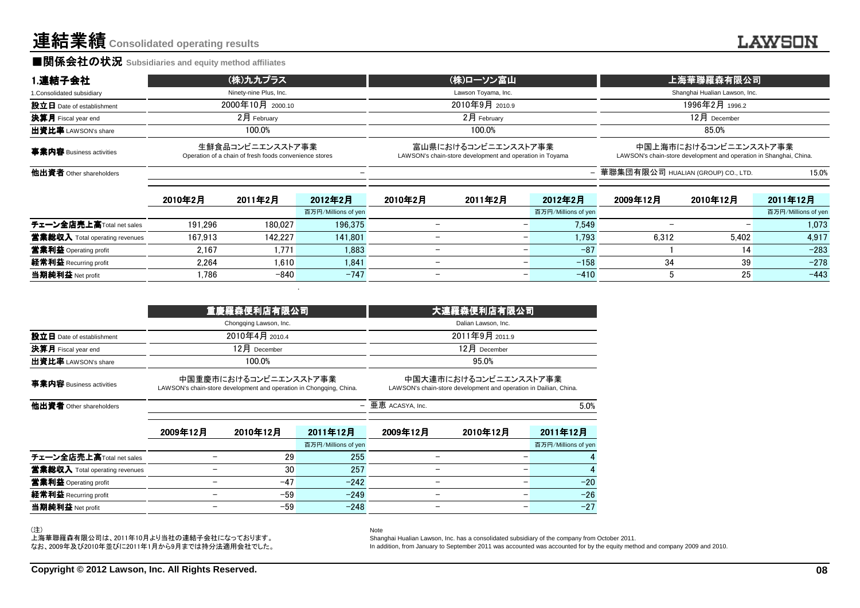連結業績**Consolidated operating results**

#### ■関係会社の状況 **Subsidiaries and equity method affiliates**

| 1.連結子会社                         | (株)九九プラス                                                                   | (株)ローソン富山                                                                       | 上海華聯羅森有限公司                                                                                  |
|---------------------------------|----------------------------------------------------------------------------|---------------------------------------------------------------------------------|---------------------------------------------------------------------------------------------|
| 1. Consolidated subsidiary      | Ninety-nine Plus, Inc.                                                     | Lawson Toyama, Inc.                                                             | Shanghai Hualian Lawson, Inc.                                                               |
| 設立日 Date of establishment       | 2000年10月 2000.10                                                           | 2010年9月 2010.9                                                                  | 1996年2月 1996.2                                                                              |
| <b>決算月</b> Fiscal year end      | 2月 February                                                                | $2$ 月 February                                                                  | $12$ 月 December                                                                             |
| 出資比率 LAWSON's share             | 100.0%                                                                     | 100.0%                                                                          | 85.0%                                                                                       |
| <b>事業内容</b> Business activities | 生鮮食品コンビニエンスストア事業<br>Operation of a chain of fresh foods convenience stores | 富山県におけるコンビニエンスストア事業<br>LAWSON's chain-store development and operation in Toyama | 中国上海市におけるコンビニエンスストア事業<br>LAWSON's chain-store development and operation in Shanghai, China. |
| <b>他出資者</b> Other shareholders  |                                                                            |                                                                                 | - 華聯集団有限公司 HUALIAN (GROUP) CO., LTD.<br>15.0%                                               |

|                                | 2010年2月 | 2011年2月 | 2012年2月             | 2010年2月                  | 2011年2月                  | 2012年2月             | 2009年12月 | 2010年12月 | 2011年12月            |
|--------------------------------|---------|---------|---------------------|--------------------------|--------------------------|---------------------|----------|----------|---------------------|
|                                |         |         | 百万円/Millions of yen |                          |                          | 百万円/Millions of yen |          |          | 百万円/Millions of yen |
| チェーン全店売上高Total net sales       | 191.296 | 180.027 | 196.375             | $\overline{\phantom{m}}$ | $\overline{\phantom{0}}$ | 7.549               |          |          | 1.073               |
| 當業総収入 Total operating revenues | 167.913 | 142.227 | 141.801             | $\overline{\phantom{0}}$ | $\overline{\phantom{0}}$ | 1.793               | 6.312    | 5.402    | 4.917               |
| 営業利益 Operating profit          | 2.167   | 1.771   | 1.883               | $\overline{\phantom{0}}$ | $\overline{\phantom{0}}$ | $-87$               |          | 14       | $-283$              |
| 経常利益 Recurring profit          | 2.264   | 1.610   | 1.841               | $\overline{\phantom{0}}$ | $\overline{\phantom{a}}$ | $-158$              | 34       | 39       | $-278$              |
| 当期純利益 Net profit               | .786    | $-840$  | $-747$              | $\overline{\phantom{0}}$ | $\overline{\phantom{0}}$ | $-410$              |          | 25       | $-443$              |

|                                |                          | 重慶羅森便利店有限公司                                                                                  |                                 | 大連羅森便利店有限公司                                                                                |                 |                                 |  |  |  |
|--------------------------------|--------------------------|----------------------------------------------------------------------------------------------|---------------------------------|--------------------------------------------------------------------------------------------|-----------------|---------------------------------|--|--|--|
|                                |                          | Chongqing Lawson, Inc.                                                                       |                                 | Dalian Lawson, Inc.                                                                        |                 |                                 |  |  |  |
| 設立日 Date of establishment      |                          | 2010年4月 2010.4                                                                               |                                 | 2011年9月 2011.9                                                                             |                 |                                 |  |  |  |
| 決算月 Fiscal year end            |                          | 12月 December                                                                                 |                                 |                                                                                            | $12$ 月 December |                                 |  |  |  |
| 出資比率 LAWSON's share            |                          | 100.0%                                                                                       |                                 |                                                                                            | 95.0%           |                                 |  |  |  |
| 事業内容 Business activities       |                          | 中国重慶市におけるコンビニエンスストア事業<br>LAWSON's chain-store development and operation in Chongqing, China. |                                 | 中国大連市におけるコンビニエンスストア事業<br>LAWSON's chain-store development and operation in Dailian, China. |                 |                                 |  |  |  |
| 他出資者 Other shareholders        |                          |                                                                                              | $\overline{\phantom{m}}$        | 亜恵 ACASYA, Inc.                                                                            |                 | 5.0%                            |  |  |  |
|                                | 2009年12月                 | 2010年12月                                                                                     | 2011年12月<br>百万円/Millions of yen | 2009年12月                                                                                   | 2010年12月        | 2011年12月<br>百万円/Millions of yen |  |  |  |
| チェーン全店売上高Total net sales       |                          | 29                                                                                           | 255                             |                                                                                            |                 | 4                               |  |  |  |
| 営業総収入 Total operating revenues |                          | 30                                                                                           | 257                             |                                                                                            |                 | 4                               |  |  |  |
| 當業利益 Operating profit          |                          | $-47$                                                                                        | $-242$                          |                                                                                            |                 | $-20$                           |  |  |  |
| 経常利益 Recurring profit          |                          | $-59$                                                                                        | $-249$                          |                                                                                            |                 | $-26$                           |  |  |  |
| 当期純利益 Net profit               | $\overline{\phantom{m}}$ | $-59$                                                                                        | $-248$                          |                                                                                            |                 | $-27$                           |  |  |  |

Note

(注)

 上海華聯羅森有限公司は、2011年10月より当社の連結子会社になっております。なお、2009年及び2010年並びに2011年1月から9月までは持分法適用会社でした。 Shanghai Hualian Lawson, Inc. has a consolidated subsidiary of the company from October 2011.

In addition, from January to September 2011 was accounted was accounted for by the equity method and company 2009 and 2010.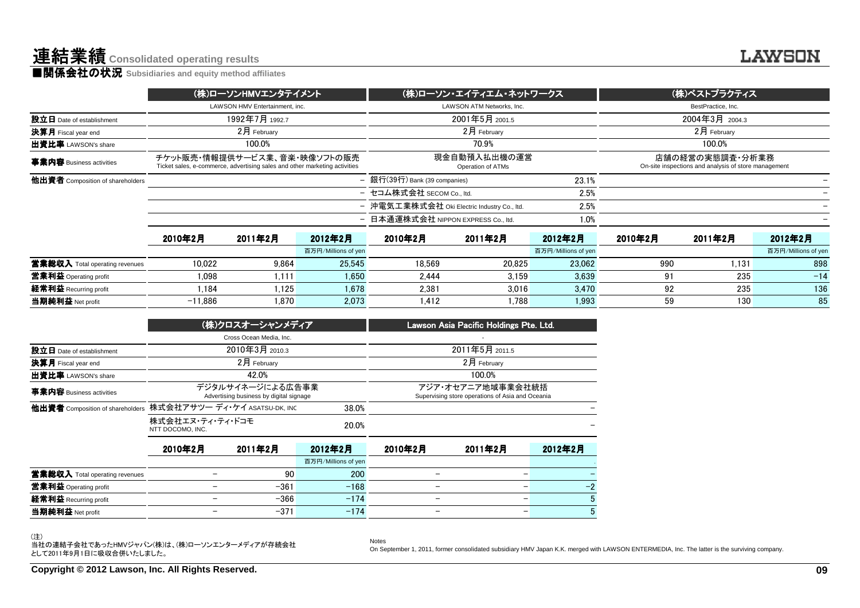|                                  |           | (株)ローソンHMVエンタテイメント                                                                                         |                     |                                             | (株)ローソン・エイティエム・ネットワークス            |                     | (株)ベストプラクティス |                                                                         |                     |  |
|----------------------------------|-----------|------------------------------------------------------------------------------------------------------------|---------------------|---------------------------------------------|-----------------------------------|---------------------|--------------|-------------------------------------------------------------------------|---------------------|--|
|                                  |           | LAWSON HMV Entertainment, inc.                                                                             |                     |                                             | LAWSON ATM Networks, Inc.         |                     |              | BestPractice, Inc.                                                      |                     |  |
| 設立日 Date of establishment        |           | 1992年7月 1992.7                                                                                             |                     |                                             | 2001年5月 2001.5                    |                     |              | 2004年3月 2004.3                                                          |                     |  |
| 決算月 Fiscal year end              |           | $2月$ February                                                                                              |                     |                                             | $2月$ February                     |                     |              | 2月 February                                                             |                     |  |
| 出資比率 LAWSON's share              |           | 100.0%                                                                                                     |                     |                                             | 70.9%                             |                     | 100.0%       |                                                                         |                     |  |
| 事業内容 Business activities         |           | チケット販売・情報提供サービス業、音楽・映像ソフトの販売<br>Ticket sales, e-commerce, advertising sales and other marketing activities |                     |                                             | 現金自動預入払出機の運営<br>Operation of ATMs |                     |              | 店舗の経営の実態調査・分析業務<br>On-site inspections and analysis of store management |                     |  |
| 他出資者 Composition of shareholders |           |                                                                                                            |                     | - 銀行(39行) Bank (39 companies)               |                                   | 23.1%               |              |                                                                         |                     |  |
|                                  |           |                                                                                                            |                     | - セコム株式会社 SECOM Co., ltd.                   |                                   | 2.5%                |              |                                                                         |                     |  |
|                                  |           |                                                                                                            |                     | - 沖電気工業株式会社 Oki Electric Industry Co., Itd. |                                   | 2.5%                |              |                                                                         |                     |  |
|                                  |           |                                                                                                            |                     | - 日本通運株式会社 NIPPON EXPRESS Co., Itd.         |                                   | 1.0%                |              |                                                                         |                     |  |
|                                  | 2010年2月   | 2011年2月                                                                                                    | 2012年2月             | 2010年2月                                     | 2011年2月                           | 2012年2月             | 2010年2月      | 2011年2月                                                                 | 2012年2月             |  |
|                                  |           |                                                                                                            | 百万円/Millions of yen |                                             |                                   | 百万円/Millions of yen |              |                                                                         | 百万円/Millions of yen |  |
| 営業総収入 Total operating revenues   | 10.022    | 9.864                                                                                                      | 25.545              | 18.569                                      | 20.825                            | 23.062              | 990          | 1.131                                                                   | 898                 |  |
| 営業利益 Operating profit            | 1.098     | 1.111                                                                                                      | 1.650               | 2.444                                       | 3.159                             | 3.639               | 91           | 235                                                                     | $-14$               |  |
| 経常利益 Recurring profit            | 1.184     | 1.125                                                                                                      | 1.678               | 2.381                                       | 3.016                             | 3.470               | 92           | 235                                                                     | 136                 |  |
| 当期純利益 Net profit                 | $-11.886$ | 1.870                                                                                                      | 2.073               | 1.412                                       | 1.788                             | 1.993               | 59           | 130                                                                     | 85                  |  |

|                                       |                                      | (株)クロスオーシャンメディア                                             |                     | Lawson Asia Pacific Holdings Pte. Ltd.                                |                |         |  |  |
|---------------------------------------|--------------------------------------|-------------------------------------------------------------|---------------------|-----------------------------------------------------------------------|----------------|---------|--|--|
|                                       |                                      | Cross Ocean Media, Inc.                                     |                     |                                                                       |                |         |  |  |
| 設立日 Date of establishment             |                                      | 2010年3月 2010.3                                              |                     |                                                                       | 2011年5月 2011.5 |         |  |  |
| 決算月 Fiscal year end                   |                                      | 2月 February                                                 |                     |                                                                       | $2月$ February  |         |  |  |
| 出資比率 LAWSON's share                   |                                      | 42.0%                                                       |                     | 100.0%                                                                |                |         |  |  |
| 事業内容 Business activities              |                                      | デジタルサイネージによる広告事業<br>Advertising business by digital signage |                     | アジア・オセアニア地域事業会社統括<br>Supervising store operations of Asia and Oceania |                |         |  |  |
| 他出資者 Composition of shareholders      | 株式会社アサツー ディ・ケイ ASATSU-DK, INC        |                                                             | 38.0%               |                                                                       |                |         |  |  |
|                                       | 株式会社エヌ・ティ・ティ・ドコモ<br>NTT DOCOMO, INC. |                                                             | 20.0%               |                                                                       |                |         |  |  |
|                                       | 2010年2月                              | 2011年2月                                                     | 2012年2月             | 2010年2月                                                               | 2011年2月        | 2012年2月 |  |  |
|                                       |                                      |                                                             | 百万円/Millions of yen |                                                                       |                |         |  |  |
| <b>営業総収入</b> Total operating revenues |                                      | 90                                                          | 200                 |                                                                       |                |         |  |  |
| 営業利益 Operating profit                 |                                      | $-361$                                                      | $-168$              |                                                                       |                | $-2$    |  |  |
| 経常利益 Recurring profit                 |                                      | $-366$                                                      | $-174$              |                                                                       |                | 5       |  |  |
| 当期純利益 Net profit                      |                                      | $-371$                                                      | $-174$              |                                                                       |                | 5       |  |  |

(注)

当社の連結子会社であったHMVジャパン(株)は、(株)ローソンエンターメディアが存続会社 として2011年9月1日に吸収合併いたしました。

Notes

On September 1, 2011, former consolidated subsidiary HMV Japan K.K. merged with LAWSON ENTERMEDIA, Inc. The latter is the surviving company.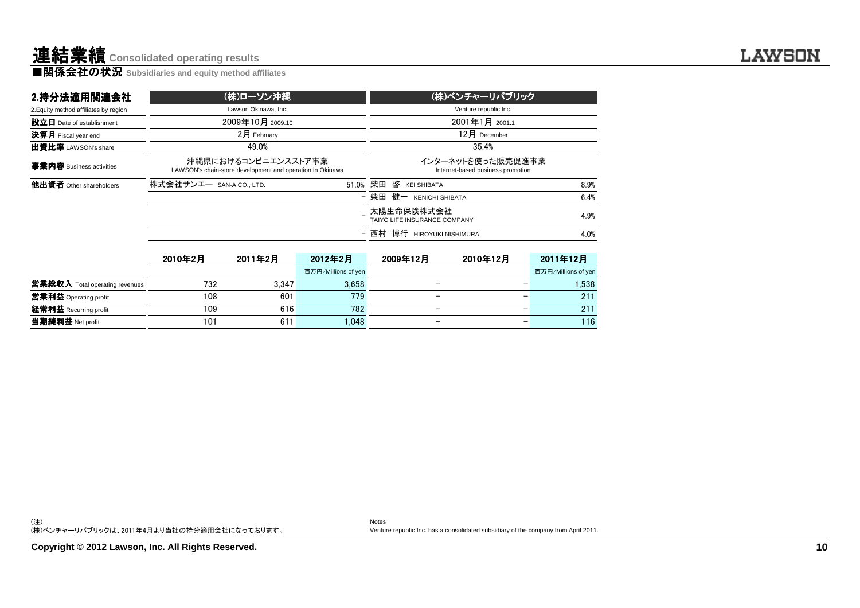| 2.持分法適用関連会社                           |                          | (株)ローソン沖縄                                                                        |                     | (株)ベンチャーリパブリック                             |                              |                                                        |                     |  |  |  |
|---------------------------------------|--------------------------|----------------------------------------------------------------------------------|---------------------|--------------------------------------------|------------------------------|--------------------------------------------------------|---------------------|--|--|--|
| 2. Equity method affiliates by region |                          | Lawson Okinawa, Inc.                                                             |                     |                                            |                              | Venture republic Inc.                                  |                     |  |  |  |
| 設立日 Date of establishment             |                          | 2009年10月 2009.10                                                                 |                     |                                            | 2001年1月 2001.1               |                                                        |                     |  |  |  |
| 決算月 Fiscal year end                   |                          | $2月$ February                                                                    |                     |                                            |                              | 12月 December                                           |                     |  |  |  |
| 出資比率 LAWSON's share                   |                          | 49.0%                                                                            |                     | 35.4%                                      |                              |                                                        |                     |  |  |  |
| 事業内容 Business activities              |                          | 沖縄県におけるコンビニエンスストア事業<br>LAWSON's chain-store development and operation in Okinawa |                     |                                            |                              | インターネットを使った販売促進事業<br>Internet-based business promotion |                     |  |  |  |
| 他出資者 Other shareholders               | 株式会社サンエー SAN-A CO., LTD. |                                                                                  | 51.0%               | 柴田                                         | 啓<br><b>KEI SHIBATA</b>      |                                                        | 8.9%                |  |  |  |
|                                       |                          |                                                                                  |                     | - 柴田                                       | 健一<br><b>KENICHI SHIBATA</b> |                                                        | 6.4%                |  |  |  |
|                                       |                          |                                                                                  |                     | 太陽生命保険株式会社<br>TAIYO LIFE INSURANCE COMPANY |                              |                                                        |                     |  |  |  |
|                                       |                          |                                                                                  |                     | - 西村                                       | 博行 HIROYUKI NISHIMURA        |                                                        | 4.0%                |  |  |  |
|                                       | 2010年2月                  | 2011年2月                                                                          | 2012年2月             |                                            | 2009年12月                     | 2010年12月                                               | 2011年12月            |  |  |  |
|                                       |                          |                                                                                  | 百万円/Millions of yen |                                            |                              |                                                        | 百万円/Millions of yen |  |  |  |
| <b>営業総収入</b> Total operating revenues | 732                      | 3.347                                                                            | 3,658               |                                            | —                            |                                                        | 1,538               |  |  |  |
| 當業利益 Operating profit                 | 108                      | 601                                                                              | 779                 |                                            | —                            |                                                        | 211                 |  |  |  |
| 経常利益 Recurring profit                 | 109                      | 616                                                                              | 782                 |                                            |                              |                                                        | 211                 |  |  |  |
| 当期純利益 Net profit                      | 101                      | 611                                                                              | 1.048               |                                            |                              |                                                        | 116                 |  |  |  |

t 101 611 1,048 - - 116

(注) (株)ベンチャーリパブリックは、2011年4月より当社の持分適用会社になっております。

NotesVenture republic Inc. has a consolidated subsidiary of the company from April 2011.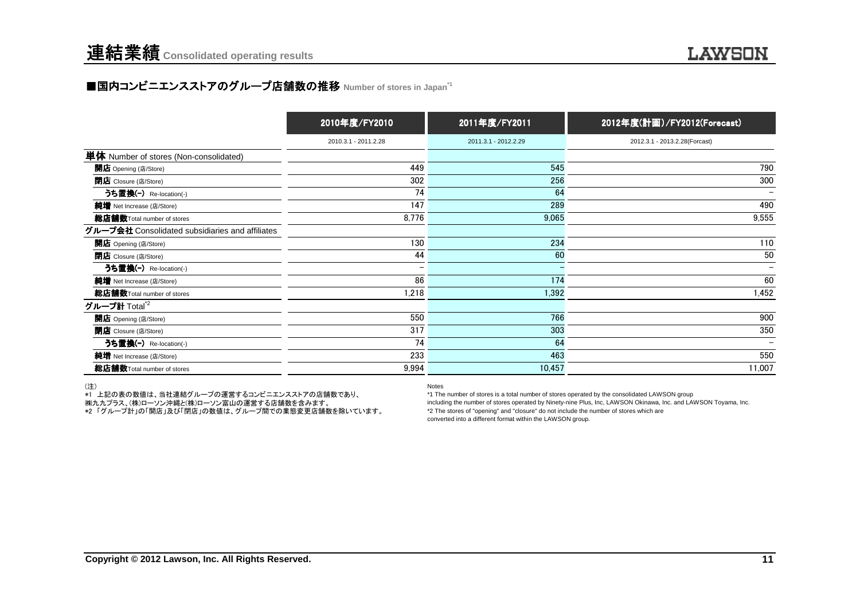### ■国内コンビニエンスストアのグループ店舗数の推移 Number of stores in Japan<sup>→1</sup>

|                                                 | 2010年度/FY2010        | 2011年度/FY2011        | 2012年度(計画)/FY2012(Forecast)   |
|-------------------------------------------------|----------------------|----------------------|-------------------------------|
|                                                 | 2010.3.1 - 2011.2.28 | 2011.3.1 - 2012.2.29 | 2012.3.1 - 2013.2.28(Forcast) |
| 単体 Number of stores (Non-consolidated)          |                      |                      |                               |
| 開店 Opening (店/Store)                            | 449                  | 545                  | 790                           |
| <b>閉店</b> Closure (店/Store)                     | 302                  | 256                  | 300                           |
| うち置換(-) Re-location(-)                          | 74                   | 64                   |                               |
| 純増 Net Increase (店/Store)                       | 147                  | 289                  | 490                           |
| 総店舗数Total number of stores                      | 8,776                | 9,065                | 9,555                         |
| グループ会社 Consolidated subsidiaries and affiliates |                      |                      |                               |
| 開店 Opening (店/Store)                            | 130                  | 234                  | 110                           |
| <b>閉店</b> Closure (店/Store)                     | 44                   | 60                   | 50                            |
| うち置換(-) Re-location(-)                          |                      |                      | $\overline{\phantom{0}}$      |
| 純増 Net Increase (店/Store)                       | 86                   | 174                  | 60                            |
| 総店舗数Total number of stores                      | 1,218                | 1,392                | 1,452                         |
| グループ計 Total <sup>*2</sup>                       |                      |                      |                               |
| 開店 Opening (店/Store)                            | 550                  | 766                  | 900                           |
| 閉店 Closure (店/Store)                            | 317                  | 303                  | 350                           |
| うち置換(-) Re-location(-)                          | 74                   | 64                   | $\overline{\phantom{a}}$      |
| 純増 Net Increase (店/Store)                       | 233                  | 463                  | 550                           |
| 総店舗数Total number of stores                      | 9,994                | 10,457               | 11,007                        |

(注)

\*1 上記の表の数値は、当社連結グループの運営するコンビニエンスストアの店舗数であり、

㈱九九プラス、(株)ローソン沖縄と(株)ローソン富山の運営する店舗数を含みます。

\*2 「グループ計」の「開店」及び「閉店」の数値は、グループ間での業態変更店舗数を除いています。

Notes

 \*1 The number of stores is a total number of stores operated by the consolidated LAWSON group including the number of stores operated by Ninety-nine Plus, Inc, LAWSON Okinawa, Inc. and LAWSON Toyama, Inc.\*2 The stores of "opening" and "closure" do not include the number of stores which areconverted into a different format within the LAWSON group.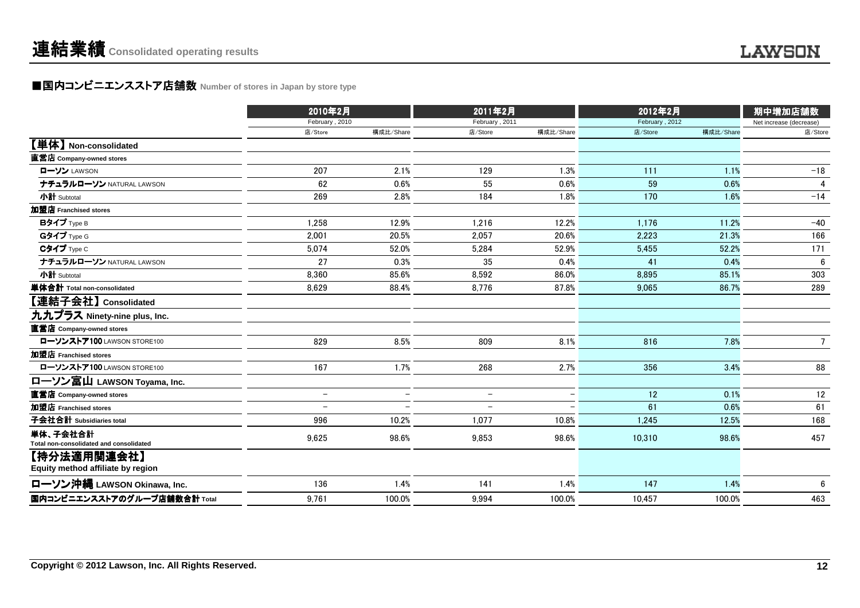### ■国内コンビニエンスストア店舗数 Number of stores in Japan by store type<br> **■国内コンビニエンスストア店舗数** Number of stores in Japan by store type

|                                                     | 2010年2月                  |                          | 2011年2月                  |           | 2012年2月        |           | 期中増加店舗数                 |
|-----------------------------------------------------|--------------------------|--------------------------|--------------------------|-----------|----------------|-----------|-------------------------|
|                                                     | February, 2010           |                          | February, 2011           |           | February, 2012 |           | Net increase (decrease) |
|                                                     | 店/Store                  | 構成比/Share                | 店/Store                  | 構成比/Share | 店/Store        | 構成比/Share | 店/Store                 |
| 【単体】 Non-consolidated                               |                          |                          |                          |           |                |           |                         |
| 直営店 Company-owned stores                            |                          |                          |                          |           |                |           |                         |
| ローソン LAWSON                                         | 207                      | 2.1%                     | 129                      | 1.3%      | 111            | 1.1%      | $-18$                   |
| ナチュラルローソン NATURAL LAWSON                            | 62                       | 0.6%                     | 55                       | 0.6%      | 59             | 0.6%      | 4                       |
| 小計 Subtotal                                         | 269                      | 2.8%                     | 184                      | 1.8%      | 170            | 1.6%      | $-14$                   |
| 加盟店 Franchised stores                               |                          |                          |                          |           |                |           |                         |
| Bタイプ Type B                                         | 1,258                    | 12.9%                    | 1.216                    | 12.2%     | 1.176          | 11.2%     | $-40$                   |
| Gタイプ Type G                                         | 2,001                    | 20.5%                    | 2,057                    | 20.6%     | 2,223          | 21.3%     | 166                     |
| Cタイプ Type C                                         | 5,074                    | 52.0%                    | 5,284                    | 52.9%     | 5.455          | 52.2%     | 171                     |
| ナチュラルローソン NATURAL LAWSON                            | 27                       | 0.3%                     | 35                       | 0.4%      | 41             | 0.4%      | 6                       |
| 小計 Subtotal                                         | 8,360                    | 85.6%                    | 8,592                    | 86.0%     | 8,895          | 85.1%     | 303                     |
| 単体合計 Total non-consolidated                         | 8.629                    | 88.4%                    | 8.776                    | 87.8%     | 9.065          | 86.7%     | 289                     |
| 【連結子会社】 Consolidated                                |                          |                          |                          |           |                |           |                         |
| 九九プラス Ninety-nine plus, Inc.                        |                          |                          |                          |           |                |           |                         |
| 直営店 Company-owned stores                            |                          |                          |                          |           |                |           |                         |
| ローソンストア100 LAWSON STORE100                          | 829                      | 8.5%                     | 809                      | 8.1%      | 816            | 7.8%      | $7\overline{ }$         |
| 加盟店 Franchised stores                               |                          |                          |                          |           |                |           |                         |
| ローソンストア100 LAWSON STORE100                          | 167                      | 1.7%                     | 268                      | 2.7%      | 356            | 3.4%      | 88                      |
| ローソン富山 LAWSON Toyama, Inc.                          |                          |                          |                          |           |                |           |                         |
| 直営店 Company-owned stores                            | $\overline{\phantom{0}}$ | $\overline{\phantom{0}}$ | $\overline{\phantom{m}}$ |           | 12             | 0.1%      | 12                      |
| 加盟店 Franchised stores                               | $\overline{\phantom{0}}$ |                          | $\overline{\phantom{a}}$ |           | 61             | 0.6%      | 61                      |
| 子会社合計 Subsidiaries total                            | 996                      | 10.2%                    | 1,077                    | 10.8%     | 1,245          | 12.5%     | 168                     |
| 単体、子会社合計<br>Total non-consolidated and consolidated | 9,625                    | 98.6%                    | 9,853                    | 98.6%     | 10,310         | 98.6%     | 457                     |
| 【持分法適用関連会社】<br>Equity method affiliate by region    |                          |                          |                          |           |                |           |                         |
| ローソン沖縄 LAWSON Okinawa, Inc.                         | 136                      | 1.4%                     | 141                      | 1.4%      | 147            | 1.4%      | 6                       |
| 国内コンビニエンスストアのグループ店舗数合計 Total                        | 9,761                    | 100.0%                   | 9.994                    | 100.0%    | 10.457         | 100.0%    | 463                     |
|                                                     |                          |                          |                          |           |                |           |                         |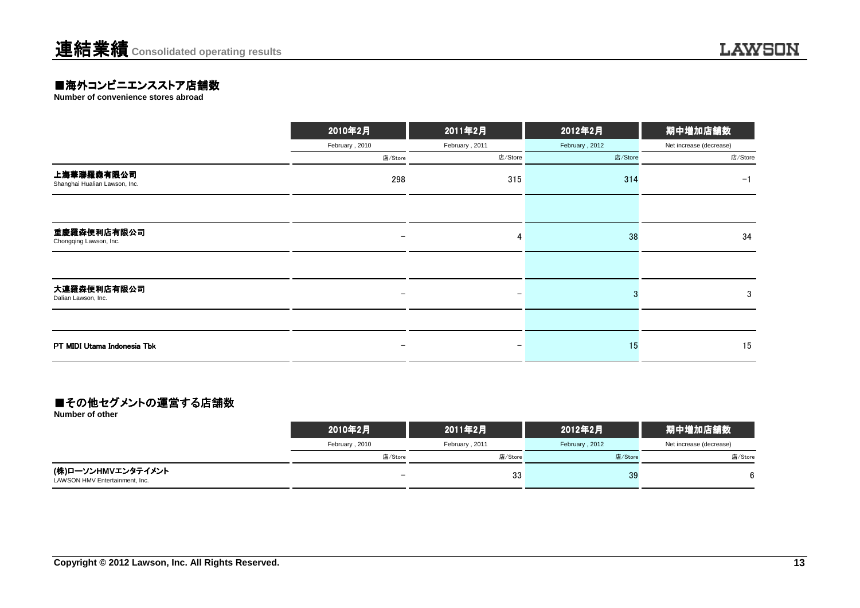### **■海外コンビニエンスストア店舗数**<br>Number of convenience stores abroad

|                                             | 2010年2月           | 2011年2月                  | 2012年2月        | 期中増加店舗数                 |
|---------------------------------------------|-------------------|--------------------------|----------------|-------------------------|
|                                             | February, 2010    | February, 2011           | February, 2012 | Net increase (decrease) |
|                                             | 店/Store           | 店/Store                  | 店/Store        | 店/Store                 |
| 上海華聯羅森有限公司<br>Shanghai Hualian Lawson, Inc. | 298               | 315                      | 314            | $-1$                    |
|                                             |                   |                          |                |                         |
| 重慶羅森便利店有限公司<br>Chongqing Lawson, Inc.       | $\qquad \qquad -$ | 4                        | 38             | 34                      |
|                                             |                   |                          |                |                         |
| 大連羅森便利店有限公司<br>Dalian Lawson, Inc.          | -                 | $\overline{\phantom{m}}$ |                | 3                       |
|                                             |                   |                          |                |                         |
| PT MIDI Utama Indonesia Tbk                 | -                 |                          | 15             | 15                      |

#### ■その他セグメントの運営する店舗数

**Number of other**

|                                                      | 2010年2月        | 2011年2月        | 2012年2月        | 期中増加店舗数                 |
|------------------------------------------------------|----------------|----------------|----------------|-------------------------|
|                                                      | February, 2010 | February, 2011 | February, 2012 | Net increase (decrease) |
|                                                      | 店/Store        | 店/Store        | 店/Store        | 店/Store                 |
| (株)ローソンHMVエンタテイメント<br>LAWSON HMV Entertainment, Inc. |                | 33             | 39             | 6                       |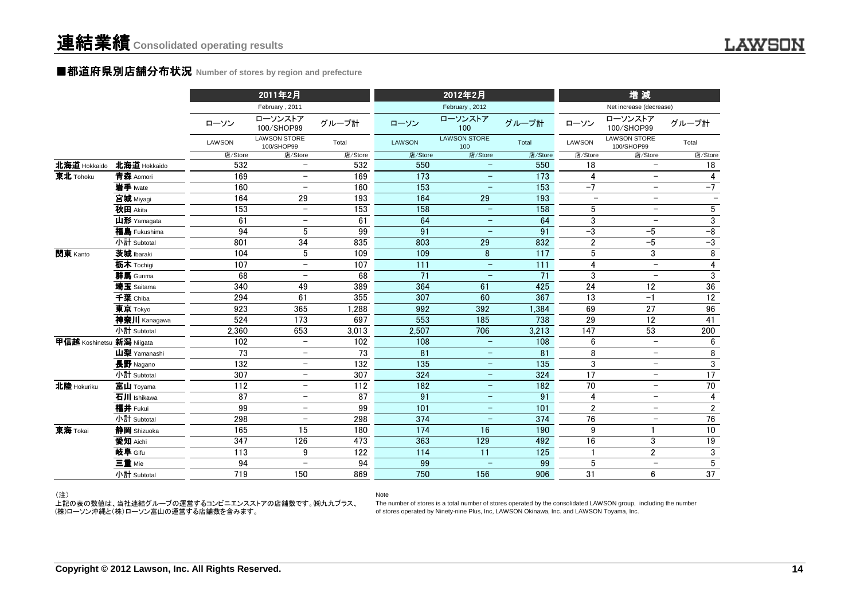#### ■都道府県別店舗分布状況 Number of stores by region and prefecture

|                           |              |         | 2011年2月                           |                 |         | 2012年2月                    |         |                          | 増減                                |                          |
|---------------------------|--------------|---------|-----------------------------------|-----------------|---------|----------------------------|---------|--------------------------|-----------------------------------|--------------------------|
|                           |              |         | February, 2011                    |                 |         | February, 2012             |         |                          | Net increase (decrease)           |                          |
|                           |              | ローソン    | ローソンストア<br>100/SHOP99             | グループ計           | ローソン    | ローソンストア<br>100             | グループ計   | ローソン                     | ローソンストア<br>100/SHOP99             | グループ計                    |
|                           |              | LAWSON  | <b>LAWSON STORE</b><br>100/SHOP99 | Total           | LAWSON  | <b>LAWSON STORE</b><br>100 | Total   | LAWSON                   | <b>LAWSON STORE</b><br>100/SHOP99 | Total                    |
|                           |              | 店/Store | 店/Store                           | 店/Store         | 店/Store | 店/Store                    | 店/Store | 店/Store                  | 店/Store                           | 店/Store                  |
| 北海道 Hokkaido              | 北海道 Hokkaido | 532     | $\overline{\phantom{0}}$          | 532             | 550     | $\overline{\phantom{0}}$   | 550     | 18                       | $\qquad \qquad -$                 | 18                       |
| 東北 Tohoku                 | 青森 Aomori    | 169     |                                   | 169             | 173     | $\qquad \qquad -$          | 173     | 4                        | $\qquad \qquad -$                 | 4                        |
|                           | 岩手 Iwate     | 160     | $\overline{\phantom{0}}$          | 160             | 153     |                            | 153     | $-7$                     | $\overline{\phantom{0}}$          | $-7$                     |
|                           | 宮城 Miyagi    | 164     | 29                                | 193             | 164     | 29                         | 193     | $\overline{\phantom{0}}$ | $\overline{\phantom{0}}$          | $\overline{\phantom{0}}$ |
|                           | 秋田 Akita     | 153     | $\overline{\phantom{0}}$          | 153             | 158     | $\equiv$                   | 158     | 5                        | $\overline{\phantom{0}}$          | $\sqrt{5}$               |
|                           | 山形 Yamagata  | 61      | $\overline{\phantom{0}}$          | 61              | 64      |                            | 64      | 3                        | $\overline{a}$                    | $\overline{3}$           |
|                           | 福島 Fukushima | 94      | 5                                 | 99              | 91      | $\overline{\phantom{0}}$   | 91      | $-3$                     | $-5$                              | $^{\rm -8}$              |
|                           | 小計 Subtotal  | 801     | 34                                | 835             | 803     | 29                         | 832     | $\overline{2}$           | $-5$                              | $-3$                     |
| 関東 Kanto                  | 茨城 Ibaraki   | 104     | 5                                 | 109             | 109     | 8                          | 117     | $\sqrt{5}$               | 3                                 | $\, 8$                   |
|                           | 栃木 Tochigi   | 107     | $\overline{\phantom{0}}$          | 107             | 111     | $\overline{\phantom{m}}$   | 111     | $\overline{\mathbf{4}}$  | $\overline{\phantom{a}}$          | $\overline{\mathbf{4}}$  |
|                           | 群馬 Gunma     | 68      | $\qquad \qquad -$                 | 68              | 71      | $\overline{\phantom{m}}$   | 71      | 3                        | $\overline{\phantom{a}}$          | $\overline{3}$           |
|                           | 埼玉 Saitama   | 340     | 49                                | 389             | 364     | 61                         | 425     | 24                       | 12                                | 36                       |
|                           | 千葉 Chiba     | 294     | 61                                | 355             | 307     | 60                         | 367     | 13                       | $-1$                              | 12                       |
|                           | 東京 Tokyo     | 923     | 365                               | 1,288           | 992     | 392                        | 1,384   | 69                       | 27                                | 96                       |
|                           | 神奈川 Kanagawa | 524     | $\overline{173}$                  | 697             | 553     | 185                        | 738     | $\overline{29}$          | $\overline{12}$                   | $\overline{41}$          |
|                           | 小計 Subtotal  | 2.360   | 653                               | 3,013           | 2,507   | 706                        | 3,213   | 147                      | 53                                | 200                      |
| 甲信越 Koshinetsu 新潟 Niigata |              | 102     | $\qquad \qquad -$                 | 102             | 108     | $\overline{\phantom{a}}$   | 108     | $6\phantom{1}$           | $\overline{\phantom{m}}$          | 6                        |
|                           | 山梨 Yamanashi | 73      | $\overline{\phantom{0}}$          | 73              | 81      | $\overline{\phantom{m}}$   | 81      | 8                        | $\qquad \qquad -$                 | 8                        |
|                           | 長野 Nagano    | 132     | $\overline{\phantom{m}}$          | 132             | 135     | $\overline{\phantom{0}}$   | 135     | 3                        | $\overline{\phantom{0}}$          | 3                        |
|                           | 小計 Subtotal  | 307     |                                   | 307             | 324     | $\overline{\phantom{0}}$   | 324     | 17                       | $\overline{\phantom{0}}$          | 17                       |
| 北陸 Hokuriku               | 富山 Toyama    | 112     | $\overline{\phantom{0}}$          | 112             | 182     | $\equiv$                   | 182     | 70                       | $\overline{\phantom{0}}$          | 70                       |
|                           | 石川 Ishikawa  | 87      | $\overline{\phantom{0}}$          | $\overline{87}$ | 91      | $\overline{\phantom{m}}$   | 91      | 4                        | $\overline{\phantom{0}}$          | $\overline{\mathbf{4}}$  |
|                           | 福井 Fukui     | 99      | $\qquad \qquad -$                 | 99              | 101     | -                          | 101     | $\overline{2}$           | $\overline{\phantom{0}}$          | $\overline{2}$           |
|                           | 小計 Subtotal  | 298     | $\overline{\phantom{0}}$          | 298             | 374     | $\overline{\phantom{0}}$   | 374     | 76                       | $\overline{\phantom{m}}$          | $76\,$                   |
| 東海 Tokai                  | 静岡 Shizuoka  | 165     | 15                                | 180             | 174     | 16                         | 190     | 9                        |                                   | $\overline{10}$          |
|                           | 愛知 Aichi     | 347     | 126                               | 473             | 363     | 129                        | 492     | 16                       | $\mathfrak{3}$                    | $\overline{19}$          |
|                           | 岐阜 Gifu      | 113     | 9                                 | 122             | 114     | 11                         | 125     | $\mathbf{1}$             | $\overline{2}$                    | $\overline{3}$           |
|                           | 三重 Mie       | 94      | $\qquad \qquad -$                 | 94              | 99      | $\overline{\phantom{m}}$   | 99      | 5                        | $\overline{\phantom{a}}$          | $5\phantom{.0}$          |
|                           | 小計 Subtotal  | 719     | 150                               | 869             | 750     | 156                        | 906     | 31                       | 6                                 | 37                       |
|                           |              |         |                                   |                 |         |                            |         |                          |                                   |                          |

Note

#### (注)

 上記の表の数値は、当社連結グループの運営するコンビニエンスストアの店舗数です。㈱九九プラス、(株)ローソン沖縄と(株)ローソン富山の運営する店舗数を含みます。

 The number of stores is a total number of stores operated by the consolidated LAWSON group, including the numberof stores operated by Ninety-nine Plus, Inc, LAWSON Okinawa, Inc. and LAWSON Toyama, Inc.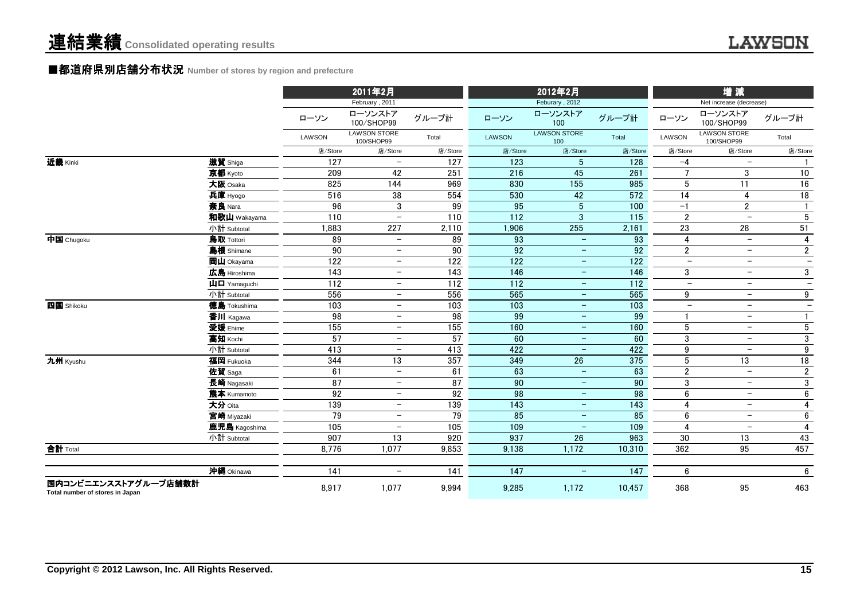#### **■都道府県別店舗分布状**況 Number of stores by region and prefecture

|                                                         |                                                         |                   | 2011年2月                           |                 |                   | 2012年2月                    |                  | 增減                       |                                   |                          |  |
|---------------------------------------------------------|---------------------------------------------------------|-------------------|-----------------------------------|-----------------|-------------------|----------------------------|------------------|--------------------------|-----------------------------------|--------------------------|--|
|                                                         |                                                         |                   | February, 2011                    |                 |                   | Feburary, 2012             |                  |                          | Net increase (decrease)           |                          |  |
|                                                         |                                                         | ローソン              | ローソンストア<br>100/SHOP99             | グループ計           | ローソン              | ローソンストア<br>100             | グループ計            | ローソン                     | ローソンストア<br>100/SHOP99             | グループ計                    |  |
|                                                         |                                                         | LAWSON            | <b>LAWSON STORE</b><br>100/SHOP99 | Total           | <b>LAWSON</b>     | <b>LAWSON STORE</b><br>100 | Total            | <b>LAWSON</b>            | <b>LAWSON STORE</b><br>100/SHOP99 | Total                    |  |
|                                                         |                                                         | 店/Store           | 店/Store                           | 店/Store         | 店/Store           | 店/Store                    | 店/Store          | 店/Store                  | 店/Store                           | 店/Store                  |  |
| 近畿 Kinki                                                | 滋賀 Shiga                                                | 127               | $\overline{\phantom{0}}$          | 127             | 123               | $5\phantom{.0}$            | 128              | $-4$                     | $\overline{\phantom{0}}$          |                          |  |
|                                                         | 京都 Kyoto                                                | 209               | 42                                | 251             | 216               | 45                         | 261              | $\overline{7}$           | 3                                 | 10                       |  |
|                                                         | 大阪 Osaka                                                | 825               | 144                               | 969             | 830               | 155                        | 985              | 5                        | 11                                | 16                       |  |
|                                                         | 兵庫 Hyogo                                                | 516               | 38                                | 554             | 530               | 42                         | 572              | $\overline{14}$          | $\overline{\mathbf{4}}$           | 18                       |  |
|                                                         | 奈良 Nara                                                 | 96                | 3                                 | 99              | 95                | $\overline{5}$             | 100              | $-1$                     | $\overline{2}$                    | $\overline{1}$           |  |
|                                                         | 和歌山 Wakayama                                            | 110               | $\equiv$                          | 110             | 112               | $\mathbf{3}$               | 115              | $\overline{2}$           | $\overline{\phantom{m}}$          | $\sqrt{5}$               |  |
|                                                         | 小計 Subtotal                                             | 1,883             | 227                               | 2,110           | 1,906             | 255                        | 2,161            | 23                       | 28                                | 51                       |  |
| 中国 Chugoku                                              | 鳥取 Tottori                                              | 89                | $\overline{\phantom{m}}$          | 89              | 93                | $\equiv$                   | 93               | 4                        | $\overline{\phantom{0}}$          | 4                        |  |
|                                                         | 島根 Shimane                                              | 90                | $\overline{\phantom{0}}$          | 90              | 92                | $\overline{\phantom{m}}$   | 92               | $\overline{2}$           | $\overline{\phantom{a}}$          | $\overline{\mathbf{c}}$  |  |
|                                                         | 岡山 Okayama                                              | 122               | $\overline{\phantom{0}}$          | 122             | $\overline{122}$  | $\overline{\phantom{m}}$   | 122              | $\equiv$                 | $\overline{\phantom{a}}$          | $\overline{\phantom{0}}$ |  |
|                                                         | 広島 Hiroshima                                            | 143               | $\overline{\phantom{m}}$          | 143             | 146               | $\overline{\phantom{m}}$   | 146              | 3                        | $\overline{\phantom{m}}$          | 3                        |  |
|                                                         | $\mathbf{\dot{\mathsf{\mu}}}$ $\mathbf{\Box}$ Yamaquchi | 112               | $\overline{\phantom{0}}$          | 112             | $\frac{1}{112}$   | $\overline{\phantom{m}}$   | 112              | $\overline{\phantom{m}}$ | $-$                               | $\overline{\phantom{0}}$ |  |
|                                                         | 小計 Subtotal                                             | 556               | $\overline{\phantom{m}}$          | 556             | 565               | $\qquad \qquad -$          | 565              | 9                        | $\overline{\phantom{m}}$          | 9                        |  |
| 四国 Shikoku                                              | <b>徳島</b> Tokushima                                     | 103               | $-$                               | 103             | 103               | $\overline{\phantom{m}}$   | $\frac{103}{ }$  | $\overline{\phantom{m}}$ | $-$                               | $-$                      |  |
|                                                         | 香川 Kagawa                                               | 98                | $-$                               | 98              | 99                | $\overline{\phantom{m}}$   | 99               |                          | $\overline{\phantom{m}}$          |                          |  |
|                                                         | 愛媛 Ehime                                                | 155               | $\overline{\phantom{m}}$          | 155             | 160               | $\overline{\phantom{m}}$   | 160              | $\mathbf 5$              | $\overline{\phantom{m}}$          | $5\phantom{.0}$          |  |
|                                                         | 高知 Kochi                                                | 57                | $\overline{\phantom{m}}$          | 57              | 60                | $\overline{\phantom{m}}$   | 60               | $\sqrt{3}$               | $\overline{\phantom{m}}$          | 3                        |  |
|                                                         | 小計 Subtotal                                             | 413               | $\overline{\phantom{0}}$          | 413             | 422               | $\equiv$                   | 422              | 9                        | $\equiv$                          | 9                        |  |
| 九州 Kyushu                                               | 福岡 Fukuoka                                              | 344               | 13                                | 357             | 349               | 26                         | 375              | $5\phantom{.0}$          | $\overline{13}$                   | $\overline{18}$          |  |
|                                                         | 佐賀 Saga                                                 | 61                | $\overline{\phantom{0}}$          | 61              | 63                | $\overline{\phantom{a}}$   | 63               | $\overline{2}$           | $\overline{\phantom{a}}$          | $\overline{2}$           |  |
|                                                         | 長崎 Nagasaki                                             | 87                | $\overline{\phantom{0}}$          | $\overline{87}$ | 90                | $\overline{\phantom{m}}$   | 90               | 3                        | $\overline{\phantom{m}}$          | 3                        |  |
|                                                         | 熊本 Kumamoto                                             | 92                | $\overline{\phantom{m}}$          | 92              | 98                | $\overline{\phantom{m}}$   | 98               | $6\phantom{1}$           | $\overline{\phantom{m}}$          | 6                        |  |
|                                                         | 大分 Oita                                                 | 139               | $\overline{\phantom{m}}$          | 139             | 143               | $\overline{\phantom{a}}$   | 143              | 4                        | $\overline{\phantom{m}}$          | 4                        |  |
|                                                         | 宮崎 Miyazaki                                             | $\overline{79}$   | $\overline{\phantom{0}}$          | $\overline{79}$ | 85                | $\overline{\phantom{m}}$   | 85               | $6\phantom{1}$           | $-$                               | 6                        |  |
|                                                         | 鹿児島 Kagoshima                                           | $\frac{105}{105}$ | $\overline{\phantom{0}}$          | 105             | 109               | $\overline{\phantom{m}}$   | 109              | $\overline{4}$           | $\overline{\phantom{m}}$          | 4                        |  |
|                                                         | 小計 Subtotal                                             | 907               | 13                                | 920             | 937               | $\overline{26}$            | 963              | 30                       | 13                                | 43                       |  |
| 合計 Total                                                |                                                         | 8,776             | 1,077                             | 9,853           | 9,138             | 1,172                      | 10,310           | 362                      | 95                                | 457                      |  |
|                                                         |                                                         |                   |                                   |                 |                   |                            |                  |                          |                                   |                          |  |
|                                                         | 沖縄 Okinawa                                              | 141               | $\overline{\phantom{0}}$          | 141             | $\frac{147}{147}$ | $\overline{\phantom{m}}$   | $\overline{147}$ | $6\phantom{1}$           |                                   | 6                        |  |
| 国内コンビニエンスストアグループ店舗数計<br>Total number of stores in Japan |                                                         | 8,917             | 1,077                             | 9,994           | 9,285             | 1,172                      | 10,457           | 368                      | 95                                | 463                      |  |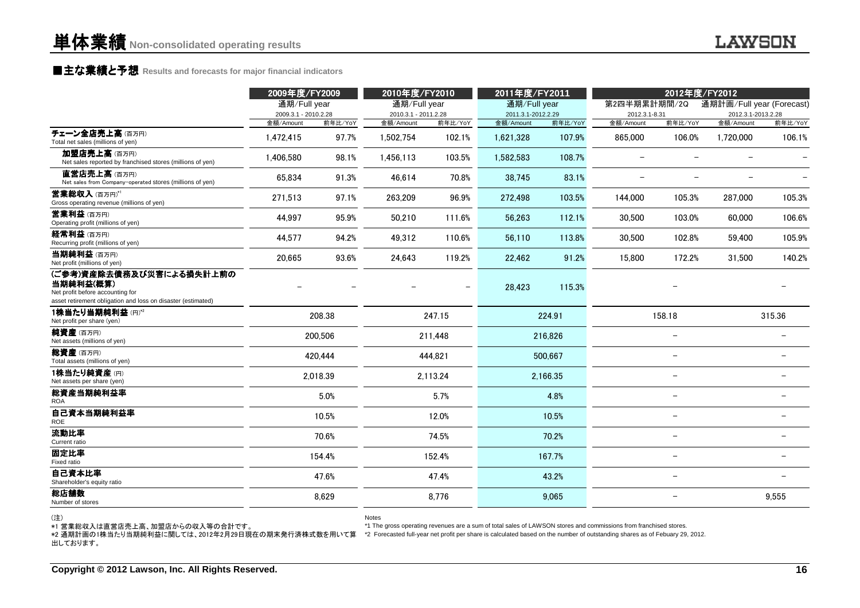### **■主な業績と予想** Results and forecasts for major financial indicators<br>
————————————————————

|                                                                                                                                           | 2009年度/FY2009        |          | 2010年度/FY2010                                                                                                                                                                                                                                                     |          | 2011年度/FY2011      |          |                          | 2012年度/FY2012            |                           |         |
|-------------------------------------------------------------------------------------------------------------------------------------------|----------------------|----------|-------------------------------------------------------------------------------------------------------------------------------------------------------------------------------------------------------------------------------------------------------------------|----------|--------------------|----------|--------------------------|--------------------------|---------------------------|---------|
|                                                                                                                                           | 通期/Full year         |          | 通期/Full year                                                                                                                                                                                                                                                      |          | 通期/Full year       |          | 第2四半期累計期間/2Q             |                          | 通期計画/Full year (Forecast) |         |
|                                                                                                                                           | 2009.3.1 - 2010.2.28 |          | 2010.3.1 - 2011.2.28                                                                                                                                                                                                                                              |          | 2011.3.1-2012.2.29 |          | 2012.3.1-8.31            |                          | 2012.3.1-2013.2.28        |         |
|                                                                                                                                           | 金額/Amount            | 前年比/YoY  | 金額/Amount                                                                                                                                                                                                                                                         | 前年比/YoY  | 金額/Amount          | 前年比/YoY  | 金額/Amount                | 前年比/YoY                  | 金額/Amount                 | 前年比/YoY |
| チェーン全店売上高(百万円)<br>Total net sales (millions of yen)                                                                                       | 1.472.415            | 97.7%    | 1,502,754                                                                                                                                                                                                                                                         | 102.1%   | 1,621,328          | 107.9%   | 865,000                  | 106.0%                   | 1.720.000                 | 106.1%  |
| 加盟店売上高(百万円)<br>Net sales reported by franchised stores (millions of yen)                                                                  | 1,406,580            | 98.1%    | 1,456,113                                                                                                                                                                                                                                                         | 103.5%   | 1,582,583          | 108.7%   | $\overline{\phantom{0}}$ | $\overline{\phantom{0}}$ | $\overline{\phantom{0}}$  |         |
| 直営店売上高(百万円)<br>Net sales from Company-operated stores (millions of yen)                                                                   | 65,834               | 91.3%    | 46,614                                                                                                                                                                                                                                                            | 70.8%    | 38,745             | 83.1%    |                          |                          |                           |         |
| <b>営業総収入</b> (百万円)*'<br>Gross operating revenue (millions of yen)                                                                         | 271,513              | 97.1%    | 263,209                                                                                                                                                                                                                                                           | 96.9%    | 272,498            | 103.5%   | 144,000                  | 105.3%                   | 287,000                   | 105.3%  |
| <b>営業利益</b> (百万円)<br>Operating profit (millions of yen)                                                                                   | 44,997               | 95.9%    | 50,210                                                                                                                                                                                                                                                            | 111.6%   | 56,263             | 112.1%   | 30,500                   | 103.0%                   | 60,000                    | 106.6%  |
| 経常利益(百万円)<br>Recurring profit (millions of yen)                                                                                           | 44.577               | 94.2%    | 49.312                                                                                                                                                                                                                                                            | 110.6%   | 56.110             | 113.8%   | 30,500                   | 102.8%                   | 59,400                    | 105.9%  |
| 当期純利益(百万円)<br>Net profit (millions of yen)                                                                                                | 20,665               | 93.6%    | 24,643                                                                                                                                                                                                                                                            | 119.2%   | 22,462             | 91.2%    | 15,800                   | 172.2%                   | 31,500                    | 140.2%  |
| (ご参考)資産除去債務及び災害による損失計上前の<br>当期純利益(概算)<br>Net profit before accounting for<br>asset retirement obligation and loss on disaster (estimated) |                      |          |                                                                                                                                                                                                                                                                   |          | 28.423             | 115.3%   |                          |                          |                           |         |
| 1株当たり当期純利益(円)*2<br>Net profit per share (yen)                                                                                             |                      | 208.38   |                                                                                                                                                                                                                                                                   | 247.15   |                    | 224.91   |                          | 158.18                   |                           | 315.36  |
| <b>純資産</b> (百万円)<br>Net assets (millions of yen)                                                                                          |                      | 200,506  |                                                                                                                                                                                                                                                                   | 211,448  |                    | 216,826  |                          |                          |                           |         |
| <b>総資産</b> (百万円)<br>Total assets (millions of yen)                                                                                        |                      | 420.444  |                                                                                                                                                                                                                                                                   | 444.821  |                    | 500.667  |                          | $\overline{\phantom{0}}$ |                           |         |
| 1株当たり純資産(円)<br>Net assets per share (yen)                                                                                                 |                      | 2.018.39 |                                                                                                                                                                                                                                                                   | 2.113.24 |                    | 2.166.35 |                          | $\overline{a}$           |                           |         |
| 総資産当期純利益率<br>ROA                                                                                                                          |                      | 5.0%     |                                                                                                                                                                                                                                                                   | 5.7%     |                    | 4.8%     |                          |                          |                           |         |
| 自己資本当期純利益率<br>ROE                                                                                                                         |                      | 10.5%    |                                                                                                                                                                                                                                                                   | 12.0%    |                    | 10.5%    |                          |                          |                           |         |
| 流動比率<br>Current ratio                                                                                                                     |                      | 70.6%    |                                                                                                                                                                                                                                                                   | 74.5%    |                    | 70.2%    |                          | -                        |                           |         |
| 固定比率<br>Fixed ratio                                                                                                                       |                      | 154.4%   |                                                                                                                                                                                                                                                                   | 152.4%   |                    | 167.7%   |                          | $\overline{\phantom{0}}$ |                           |         |
| 自己資本比率<br>Shareholder's equity ratio                                                                                                      |                      | 47.6%    |                                                                                                                                                                                                                                                                   | 47.4%    |                    | 43.2%    |                          | $\overline{\phantom{0}}$ |                           |         |
| 総店舗数<br>Number of stores                                                                                                                  |                      | 8,629    |                                                                                                                                                                                                                                                                   | 8,776    |                    | 9,065    |                          | $\overline{\phantom{0}}$ |                           | 9,555   |
| (注)<br>*1 営業総収入は直営店売上高、加盟店からの収入等の合計です。<br>*2 通期計画の1株当たり当期純利益に関しては、2012年2月29日現在の期末発行済株式数を用いて算<br>出しております。                                  |                      |          | <b>Notes</b><br>*1 The gross operating revenues are a sum of total sales of LAWSON stores and commissions from franchised stores.<br>*2 Forecasted full-year net profit per share is calculated based on the number of outstanding shares as of Febuary 29, 2012. |          |                    |          |                          |                          |                           |         |
| Copyright © 2012 Lawson, Inc. All Rights Reserved.                                                                                        |                      |          |                                                                                                                                                                                                                                                                   |          |                    |          |                          |                          |                           | 16      |

(注)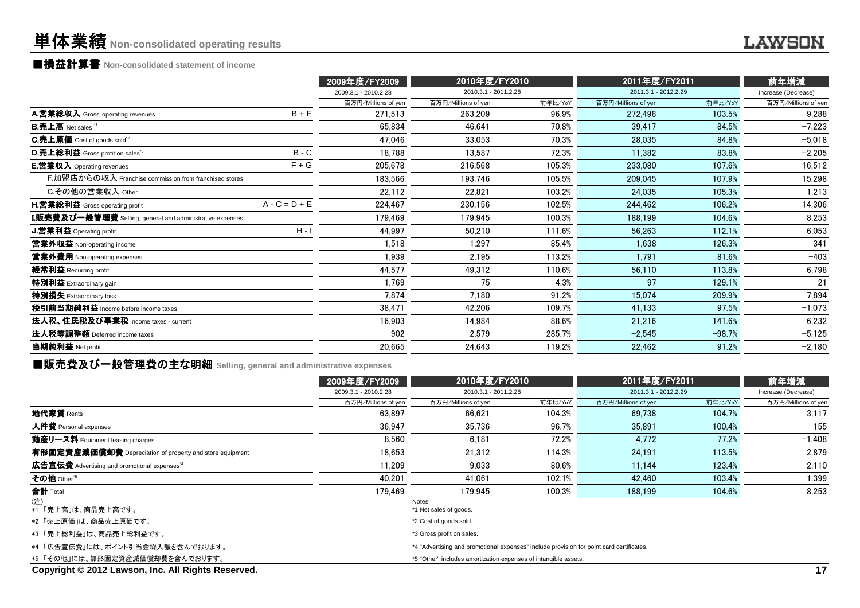### **■損益計算書 Non-consolidated statement of income**

|                                                                  |                 | 2009年度/FY2009        | 2010年度/FY2010        |         | 2011年度/FY2011        |          | 前年増減                |
|------------------------------------------------------------------|-----------------|----------------------|----------------------|---------|----------------------|----------|---------------------|
|                                                                  |                 | 2009.3.1 - 2010.2.28 | 2010.3.1 - 2011.2.28 |         | 2011.3.1 - 2012.2.29 |          | Increase (Decrease) |
|                                                                  |                 | 百万円/Millions of yen  | 百万円/Millions of yen  | 前年比/YoY | 百万円/Millions of yen  | 前年比/YoY  | 百万円/Millions of yen |
| A.営業総収入 Gross operating revenues                                 | $B + E$         | 271,513              | 263.209              | 96.9%   | 272,498              | 103.5%   | 9,288               |
| <b>B.売上高</b> Net sales <sup>"1</sup>                             |                 | 65,834               | 46.641               | 70.8%   | 39,417               | 84.5%    | $-7,223$            |
| <b>C.売上原価</b> Cost of goods sold <sup>*2</sup>                   |                 | 47.046               | 33.053               | 70.3%   | 28,035               | 84.8%    | $-5,018$            |
| <b>D.売上総利益</b> Gross profit on sales <sup>3</sup>                | $B - C$         | 18,788               | 13,587               | 72.3%   | 11,382               | 83.8%    | $-2,205$            |
| <b>E.営業収入</b> Operating revenues                                 | $F + G$         | 205,678              | 216,568              | 105.3%  | 233,080              | 107.6%   | 16,512              |
| F.加盟店からの収入 Franchise commission from franchised stores           |                 | 183.566              | 193.746              | 105.5%  | 209,045              | 107.9%   | 15,298              |
| G.その他の営業収入 Other                                                 |                 | 22,112               | 22,821               | 103.2%  | 24,035               | 105.3%   | 1,213               |
| <b>H.営業総利益</b> Gross operating profit                            | $A - C = D + E$ | 224,467              | 230,156              | 102.5%  | 244,462              | 106.2%   | 14,306              |
| <b>I.販売費及び一般管理費</b> Selling, general and administrative expenses |                 | 179,469              | 179,945              | 100.3%  | 188,199              | 104.6%   | 8,253               |
| <b>J.営業利益</b> Operating profit                                   | $H - I$         | 44.997               | 50,210               | 111.6%  | 56,263               | 112.1%   | 6,053               |
| 當業外収益 Non-operating income                                       |                 | 1,518                | 1,297                | 85.4%   | 1,638                | 126.3%   | 341                 |
| <b>営業外費用</b> Non-operating expenses                              |                 | 1,939                | 2,195                | 113.2%  | 1,791                | 81.6%    | $-403$              |
| 経常利益 Recurring profit                                            |                 | 44,577               | 49,312               | 110.6%  | 56,110               | 113.8%   | 6,798               |
| 特別利益 Extraordinary gain                                          |                 | 1.769                | 75                   | 4.3%    | 97                   | 129.1%   | 21                  |
| 特別損失 Extraordinary loss                                          |                 | 7,874                | 7.180                | 91.2%   | 15,074               | 209.9%   | 7,894               |
| 税引前当期純利益 Income before income taxes                              |                 | 38,471               | 42.206               | 109.7%  | 41,133               | 97.5%    | $-1,073$            |
| 法人税、住民税及び事業税 Income taxes - current                              |                 | 16,903               | 14.984               | 88.6%   | 21,216               | 141.6%   | 6,232               |
| 法人税等調整額 Deferred income taxes                                    |                 | 902                  | 2,579                | 285.7%  | $-2,545$             | $-98.7%$ | $-5,125$            |
| 当期純利益 Net profit                                                 |                 | 20,665               | 24,643               | 119.2%  | 22,462               | 91.2%    | $-2,180$            |
|                                                                  |                 |                      |                      |         |                      |          |                     |

■販売費及び一般管理費の主な明細 **Selling, general and administrative expenses**

|                                                          | 2009年度/FY2009        | 2010年度/FY2010                                                                            |         | 2011年度/FY2011        |         | 前年増減                |
|----------------------------------------------------------|----------------------|------------------------------------------------------------------------------------------|---------|----------------------|---------|---------------------|
|                                                          | 2009.3.1 - 2010.2.28 | 2010.3.1 - 2011.2.28                                                                     |         | 2011.3.1 - 2012.2.29 |         | Increase (Decrease) |
|                                                          | 百万円/Millions of yen  | 百万円/Millions of yen                                                                      | 前年比/YoY | 百万円/Millions of yen  | 前年比/YoY | 百万円/Millions of yen |
| 地代家賃 Rents                                               | 63.897               | 66.621                                                                                   | 104.3%  | 69,738               | 104.7%  | 3,117               |
| 人件費 Personal expenses                                    | 36.947               | 35.736                                                                                   | 96.7%   | 35.891               | 100.4%  | 155                 |
| 動産リース料 Equipment leasing charges                         | 8.560                | 6.181                                                                                    | 72.2%   | 4.772                | 77.2%   | $-1,408$            |
| 有形固定資産減価償却費 Depreciation of property and store equipment | 18.653               | 21.312                                                                                   | 114.3%  | 24.191               | 113.5%  | 2,879               |
| 広告宣伝費 Advertising and promotional expenses <sup>*4</sup> | 11.209               | 9.033                                                                                    | 80.6%   | 11.144               | 123.4%  | 2,110               |
| その他 Other <sup>*5</sup>                                  | 40,201               | 41,061                                                                                   | 102.1%  | 42,460               | 103.4%  | 1,399               |
| 合計 Total                                                 | 179.469              | 179.945                                                                                  | 100.3%  | 188,199              | 104.6%  | 8.253               |
| (注)<br>*1 「売上高」は、商品売上高です。                                |                      | Notes<br>*1 Net sales of goods.                                                          |         |                      |         |                     |
| *2「売上原価」は、商品売上原価です。                                      |                      | *2 Cost of goods sold.                                                                   |         |                      |         |                     |
| *3「売上総利益」は、商品売上総利益です。                                    |                      | *3 Gross profit on sales.                                                                |         |                      |         |                     |
| *4「広告宣伝費」には、ポイント引当金繰入額を含んでおります。                          |                      | *4 "Advertising and promotional expenses" include provision for point card certificates. |         |                      |         |                     |
| *5 「その他」には、無形固定資産減価償却費を含んでおります。                          |                      | *5 "Other" includes amortization expenses of intangible assets.                          |         |                      |         |                     |
| Copyright © 2012 Lawson, Inc. All Rights Reserved.       |                      |                                                                                          |         |                      |         | 17                  |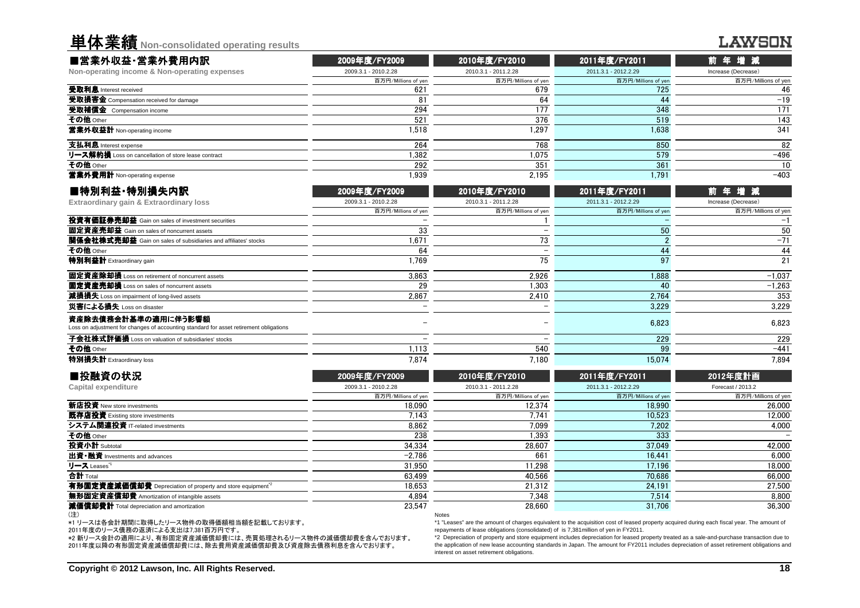| 单体業績 Non-consolidated operating results                                                                       |                      |                          |                      | LAWSON              |
|---------------------------------------------------------------------------------------------------------------|----------------------|--------------------------|----------------------|---------------------|
| ■営業外収益·営業外費用内訳                                                                                                | 2009年度/FY2009        | 2010年度/FY2010            | 2011年度/FY2011        | 前年増減                |
| Non-operating income & Non-operating expenses                                                                 | 2009.3.1 - 2010.2.28 | 2010.3.1 - 2011.2.28     | 2011.3.1 - 2012.2.29 | Increase (Decrease) |
|                                                                                                               | 百万円/Millions of yen  | 百万円/Millions of yen      | 百万円/Millions of yen  | 百万円/Millions of yer |
| 受取利息 Interest received                                                                                        | 621                  | 679                      | 725                  | 46                  |
| 受取損害金 Compensation received for damage                                                                        | 81                   | 64                       | 44                   | $-19$               |
| 受取補償金 Compensation income                                                                                     | 294                  | 177                      | 348                  | 171                 |
| その他 Other                                                                                                     | 521                  | 376                      | 519                  | 143                 |
| 営業外収益計 Non-operating income                                                                                   | 1.518                | 1.297                    | 1.638                | 341                 |
| 支払利息 Interest expense                                                                                         | 264                  | 768                      | 850                  | 82                  |
| リース解約損 Loss on cancellation of store lease contract                                                           | 1,382                | 1,075                    | 579                  | $-496$              |
| その他 Other                                                                                                     | 292                  | 351                      | 361                  | 10                  |
| 営業外費用計 Non-operating expense                                                                                  | 1.939                | 2.195                    | 1.791                | $-403$              |
| ■特別利益·特別損失内訳                                                                                                  | 2009年度/FY2009        | 2010年度/FY2010            | 2011年度/FY2011        | 増<br>減<br>前 年       |
| Extraordinary gain & Extraordinary loss                                                                       | 2009.3.1 - 2010.2.28 | 2010.3.1 - 2011.2.28     | 2011.3.1 - 2012.2.29 | Increase (Decrease) |
|                                                                                                               | 百万円/Millions of yer  | 百万円/Millions of yen      | 百万円/Millions of yen  | 百万円/Millions of yer |
| 投資有価証券売却益 Gain on sales of investment securities                                                              |                      |                          |                      | $-1$                |
| 固定資産売却益 Gain on sales of noncurrent assets                                                                    | 33                   | $\equiv$                 | 50                   | 50                  |
| <b>関係会社株式売却益</b> Gain on sales of subsidiaries and affiliates' stocks                                         | 1,671                | 73                       | $\mathcal{P}$        | $-71$               |
| その他 Other                                                                                                     | 64                   | $\overline{\phantom{0}}$ | 44                   | 44                  |
| 特別利益計 Extraordinary gain                                                                                      | 1.769                | 75                       | 97                   | 21                  |
| 固定資産除却損 Loss on retirement of noncurrent assets                                                               | 3.863                | 2.926                    | 1.888                | $-1.037$            |
| 固定資産売却損 Loss on sales of noncurrent assets                                                                    | 29                   | 1,303                    | 40                   | $-1,263$            |
| 減損損失 Loss on impairment of long-lived assets                                                                  | 2.867                | 2.410                    | 2.764                | 353                 |
| 災害による損失 Loss on disaster                                                                                      |                      |                          | 3,229                | 3.229               |
| 資産除去債務会計基準の適用に伴う影響額<br>Loss on adjustment for changes of accounting standard for asset retirement obligations |                      |                          | 6.823                | 6,823               |
| 子会社株式評価損 Loss on valuation of subsidiaries' stocks                                                            |                      |                          | 229                  | 229                 |
| その他 Other                                                                                                     | 1,113                | 540                      | 99                   | $-441$              |
| 特別損失計 Extraordinary loss                                                                                      | 7,874                | 7.180                    | 15,074               | 7,894               |
| ■投融資の状況                                                                                                       | 2009年度/FY2009        | 2010年度/FY2010            | 2011年度/FY2011        | 2012年度計画            |
| <b>Capital expenditure</b>                                                                                    | 2009.3.1 - 2010.2.28 | 2010.3.1 - 2011.2.28     | 2011.3.1 - 2012.2.29 | Forecast / 2013.2   |
|                                                                                                               | 百万円/Millions of yen  | 百万円/Millions of yen      | 百万円/Millions of yen  | 百万円/Millions of yer |
| 新店投資 New store investments                                                                                    | 18.090               | 12,374                   | 18.990               | 26,000              |
| 既存店投資 Existing store investments                                                                              | 7.143                | 7.741                    | 10.523               | 12,000              |
| システム関連投資 iT.related investments                                                                               | 8862                 | 7.099                    | 7.202                | 4.000               |

資 IT-related investments 8,862 7,099 7,202 4,000 4,000

 $\frac{34,334}{-2.786}$   $\frac{34,334}{-2.786}$   $\frac{28,607}{661}$   $\frac{37,049}{16.441}$   $\frac{42,000}{6.000}$ 

 $\frac{-2,786}{31.950}$   $\frac{-2,786}{11.298}$   $\frac{6,000}{11.298}$   $\frac{16,441}{17.196}$   $\frac{6,000}{17.196}$ 

 $\frac{4,894}{23547}$   $\frac{7,348}{28660}$   $\frac{7,514}{2867}$   $\frac{7,514}{31,706}$   $\frac{8,800}{36,300}$ 

23,547 28,660 31,706 36,300

Depreciation of property and store equipment\*2 18,653 21,312 24,191 27,500

Other <sup>238</sup> 1,393 <sup>333</sup> -

Notes

リース Leases" 31,950 11,298 17,196 18,000<br>会計 Total 63,499 40,566 70,686 66,000

63,499 40,566 70,686 66,000 有形固定資産減価償却費

|  |  |  |  |  |  | *1 リースは各会計期間に取得したリース物件の取得価額相当額を記載しております。 |  |
|--|--|--|--|--|--|------------------------------------------|--|
|  |  |  |  |  |  |                                          |  |

2011年度のリース債務の返済による支出は7,381百万円です。

無形固定資産償却費 Amortization of intangible assets

減価償却費計 Total depreciation and amortization

システム関連投資 IT-related investments

出資・融資 Investments and advances

その他 Other

**合計 Total** 

(注)

投資小計 Subtotal

 \*2 新リース会計の適用により、有形固定資産減価償却費には、売買処理されるリース物件の減価償却費を含んでおります。2011年度以降の有形固定資産減価償却費には、除去費用資産減価償却費及び資産除去債務利息を含んでおります。

 \*1 "Leases" are the amount of charges equivalent to the acquisition cost of leased property acquired during each fiscal year. The amount ofrepayments of lease obligations (consolidated) of is 7,381million of yen in FY2011.

 \*2 Depreciation of property and store equipment includes depreciation for leased property treated as a sale-and-purchase transaction due to the application of new lease accounting standards in Japan. The amount for FY2011 includes depreciation of asset retirement obligations andinterest on asset retirement obligations.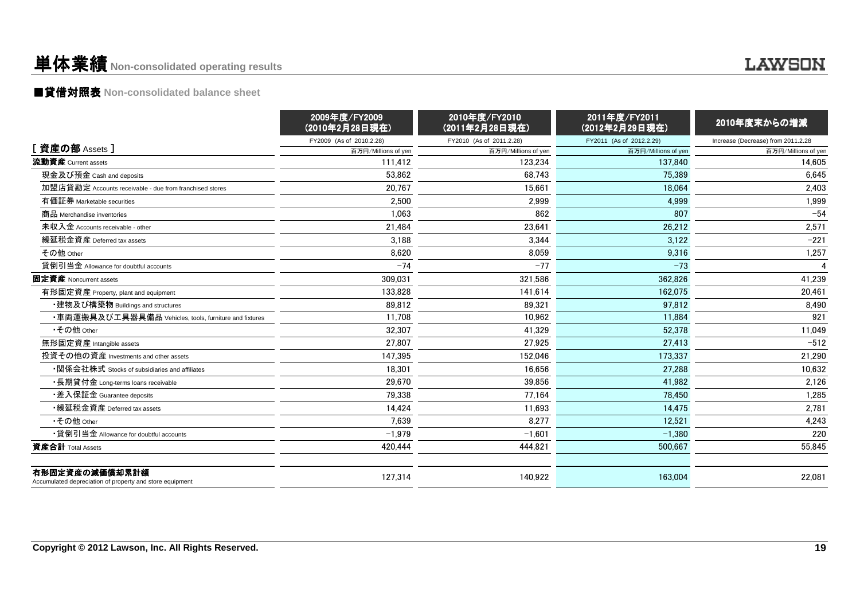### 単体業績**Non-consolidated operating results**

### ■貸借対照表 **Non-consolidated balance sheet**

|                                                                            | 2009年度/FY2009<br>(2010年2月28日現在) | 2010年度/FY2010<br>(2011年2月28日現在) | 2011年度/FY2011<br>(2012年2月29日現在) | 2010年度末からの増減                       |
|----------------------------------------------------------------------------|---------------------------------|---------------------------------|---------------------------------|------------------------------------|
|                                                                            | FY2009 (As of 2010.2.28)        | FY2010 (As of 2011.2.28)        | FY2011 (As of 2012.2.29)        | Increase (Decrease) from 2011.2.28 |
| [ 資産の部 Assets ]                                                            | 百万円/Millions of yen             | 百万円/Millions of yen             | 百万円/Millions of yen             | 百万円/Millions of yen                |
| 流動資産 Current assets                                                        | 111.412                         | 123,234                         | 137.840                         | 14,605                             |
| 現金及び預金 Cash and deposits                                                   | 53,862                          | 68.743                          | 75,389                          | 6,645                              |
| 加盟店貸勘定 Accounts receivable - due from franchised stores                    | 20.767                          | 15,661                          | 18.064                          | 2,403                              |
| 有価証券 Marketable securities                                                 | 2,500                           | 2,999                           | 4,999                           | 1,999                              |
| 商品 Merchandise inventories                                                 | 1,063                           | 862                             | 807                             | $-54$                              |
| 未収入金 Accounts receivable - other                                           | 21,484                          | 23,641                          | 26,212                          | 2,571                              |
| 繰延税金資産 Deferred tax assets                                                 | 3,188                           | 3,344                           | 3,122                           | $-221$                             |
| その他 Other                                                                  | 8,620                           | 8,059                           | 9,316                           | 1,257                              |
| 貸倒引当金 Allowance for doubtful accounts                                      | $-74$                           | $-77$                           | $-73$                           | $\boldsymbol{\Lambda}$             |
| 固定資産 Noncurrent assets                                                     | 309.031                         | 321.586                         | 362.826                         | 41.239                             |
| 有形固定資産 Property, plant and equipment                                       | 133.828                         | 141.614                         | 162.075                         | 20,461                             |
| ・建物及び構築物 Buildings and structures                                          | 89,812                          | 89,321                          | 97,812                          | 8,490                              |
| ・車両運搬具及び工具器具備品 Vehicles, tools, furniture and fixtures                     | 11,708                          | 10,962                          | 11,884                          | 921                                |
| •その他 Other                                                                 | 32.307                          | 41,329                          | 52.378                          | 11,049                             |
| 無形固定資産 Intangible assets                                                   | 27,807                          | 27,925                          | 27,413                          | $-512$                             |
| 投資その他の資産 Investments and other assets                                      | 147,395                         | 152,046                         | 173.337                         | 21,290                             |
| ・関係会社株式 Stocks of subsidiaries and affiliates                              | 18,301                          | 16,656                          | 27,288                          | 10,632                             |
| ・長期貸付金 Long-terms loans receivable                                         | 29,670                          | 39,856                          | 41,982                          | 2,126                              |
| •差入保証金 Guarantee deposits                                                  | 79,338                          | 77,164                          | 78,450                          | 1,285                              |
| •繰延税金資産 Deferred tax assets                                                | 14,424                          | 11,693                          | 14,475                          | 2,781                              |
| •その他 Other                                                                 | 7.639                           | 8.277                           | 12,521                          | 4,243                              |
| •貸倒引当金 Allowance for doubtful accounts                                     | $-1,979$                        | $-1,601$                        | $-1,380$                        | 220                                |
| 資産合計 Total Assets                                                          | 420,444                         | 444,821                         | 500,667                         | 55,845                             |
| 有形固定資産の減価償却累計額<br>Accumulated depreciation of property and store equipment | 127,314                         | 140.922                         | 163,004                         | 22,081                             |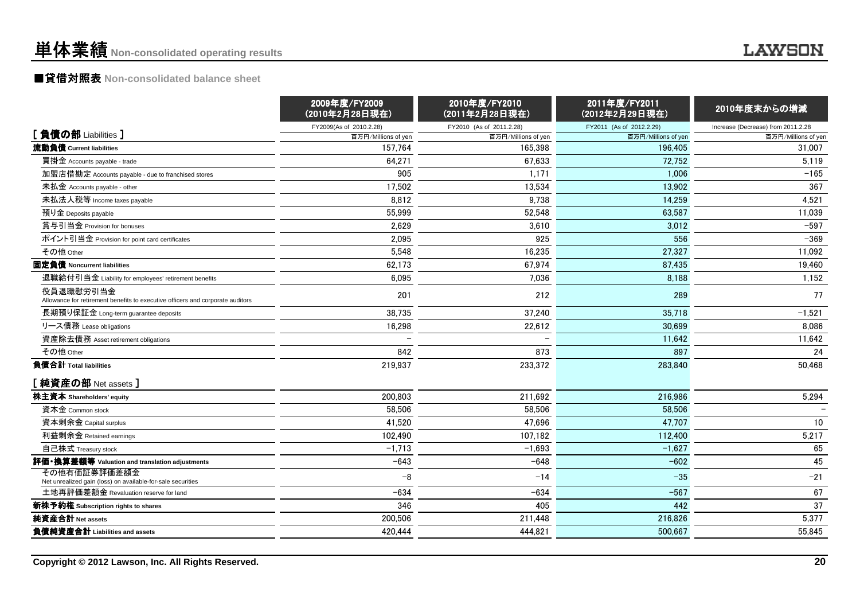### ■貸借対照表 **Non-consolidated balance sheet**

|                                                                                             | 2009年度/FY2009<br>(2010年2月28日現在) | 2010年度/FY2010<br>(2011年2月28日現在) | 2011年度/FY2011<br>(2012年2月29日現在) | 2010年度末からの増減                       |
|---------------------------------------------------------------------------------------------|---------------------------------|---------------------------------|---------------------------------|------------------------------------|
| [負債の部 Liabilities ]                                                                         | FY2009(As of 2010.2.28)         | FY2010 (As of 2011.2.28)        | FY2011 (As of 2012.2.29)        | Increase (Decrease) from 2011.2.28 |
|                                                                                             | 百万円/Millions of yen             | 百万円/Millions of yen             | 百万円/Millions of yen             | 百万円/Millions of yen                |
| 流動負債 Current liabilities                                                                    | 157,764                         | 165,398                         | 196.405                         | 31,007                             |
| 買掛金 Accounts payable - trade                                                                | 64,271                          | 67,633                          | 72,752                          | 5,119                              |
| 加盟店借勘定 Accounts payable - due to franchised stores                                          | 905                             | 1,171                           | 1,006                           | $-165$                             |
| 未払金 Accounts payable - other                                                                | 17,502                          | 13,534                          | 13,902                          | 367                                |
| 未払法人税等 Income taxes payable                                                                 | 8,812                           | 9,738                           | 14,259                          | 4,521                              |
| 預り金 Deposits payable                                                                        | 55,999                          | 52,548                          | 63,587                          | 11,039                             |
| 賞与引当金 Provision for bonuses                                                                 | 2,629                           | 3,610                           | 3.012                           | $-597$                             |
| ポイント引当金 Provision for point card certificates                                               | 2,095                           | 925                             | 556                             | $-369$                             |
| その他 Other                                                                                   | 5,548                           | 16,235                          | 27.327                          | 11.092                             |
| 固定負債 Noncurrent liabilities                                                                 | 62,173                          | 67,974                          | 87.435                          | 19,460                             |
| 退職給付引当金 Liability for employees' retirement benefits                                        | 6,095                           | 7,036                           | 8,188                           | 1,152                              |
| 役員退職慰労引当金<br>Allowance for retirement benefits to executive officers and corporate auditors | 201                             | 212                             | 289                             | 77                                 |
| 長期預り保証金 Long-term guarantee deposits                                                        | 38,735                          | 37,240                          | 35,718                          | $-1,521$                           |
| リース債務 Lease obligations                                                                     | 16,298                          | 22,612                          | 30,699                          | 8,086                              |
| 資産除去債務 Asset retirement obligations                                                         |                                 |                                 | 11,642                          | 11,642                             |
| その他 Other                                                                                   | 842                             | 873                             | 897                             | 24                                 |
| 負債合計 Total liabilities                                                                      | 219,937                         | 233,372                         | 283,840                         | 50,468                             |
| [ 純資産の部 Net assets ]                                                                        |                                 |                                 |                                 |                                    |
| 株主資本 Shareholders' equity                                                                   | 200,803                         | 211,692                         | 216,986                         | 5,294                              |
| 資本金 Common stock                                                                            | 58,506                          | 58,506                          | 58,506                          |                                    |
| 資本剰余金 Capital surplus                                                                       | 41,520                          | 47,696                          | 47,707                          | 10                                 |
| 利益剰余金 Retained earnings                                                                     | 102,490                         | 107,182                         | 112,400                         | 5,217                              |
| 自己株式 Treasury stock                                                                         | $-1,713$                        | $-1,693$                        | $-1,627$                        | 65                                 |
| 評価・換算差額等 Valuation and translation adjustments                                              | $-643$                          | $-648$                          | $-602$                          | 45                                 |
| その他有価証券評価差額金<br>Net unrealized gain (loss) on available-for-sale securities                 | -8                              | $-14$                           | $-35$                           | $-21$                              |
| 土地再評価差額金 Revaluation reserve for land                                                       | $-634$                          | $-634$                          | $-567$                          | 67                                 |
| 新株予約権 Subscription rights to shares                                                         | 346                             | 405                             | 442                             | 37                                 |
| 純資産合計 Net assets                                                                            | 200,506                         | 211,448                         | 216,826                         | 5,377                              |
| 負債純資産合計 Liabilities and assets                                                              | 420,444                         | 444,821                         | 500.667                         | 55.845                             |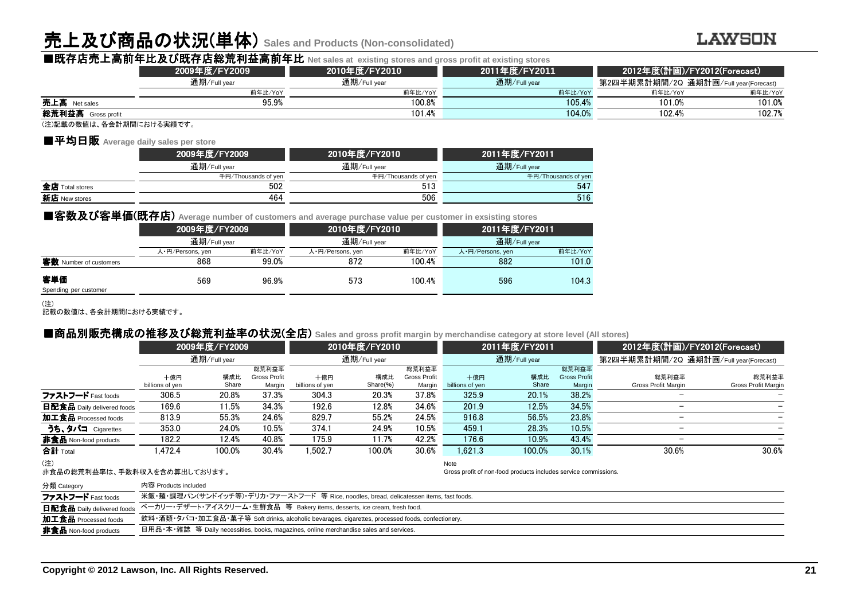## 売上及び商品の状況(単体) **Sales and Products (Non-consolidated)**

#### **LAWSON**

|                         |               | ■既存店売上高前年比及び既存店総荒利益高前年比 Net sales at existing stores and gross profit at existing stores |               |                             |                                       |
|-------------------------|---------------|------------------------------------------------------------------------------------------|---------------|-----------------------------|---------------------------------------|
|                         | 2009年度/FY2009 | 2010年度/FY2010                                                                            | 2011年度/FY2011 | 2012年度(計画)/FY2012(Forecast) |                                       |
|                         | 通期/Full vear  | 通期/Full year                                                                             | 通期/Full year  |                             | 第2四半期累計期間/2Q 通期計画/Full year(Forecast) |
|                         | 前年比/YoY       | 前年比/YoY                                                                                  | 前年比/YoY       | 前年比/YoY                     | 前年比/YoY                               |
| 売上高 Net sales           | 95.9%         | 100.8%                                                                                   | 105.4%        | 101.0%                      | 101.0%                                |
| 総荒利益高 Gross profit      |               | 101.4%                                                                                   | 104.0%        | 102.4%                      | 102.7%                                |
| (注)記載の数値け 冬全計期間における実績です |               |                                                                                          |               |                             |                                       |

(注)記載の数値は、各会計期間における実績です。

#### ■平均日販 **Average daily sales per store**

|                 | 2009年度/FY2009       | 2010年度/FY2010       | 2011年度/FY2011       |  |  |
|-----------------|---------------------|---------------------|---------------------|--|--|
|                 | 通期/Full year        | 通期/Full year        | 通期/Full year        |  |  |
|                 | 千円/Thousands of ven | 千円/Thousands of yen | 千円/Thousands of yer |  |  |
| 全店 Total stores | 502                 | 513                 | 547                 |  |  |
| 新店 New stores   | 464                 | 506                 | 516                 |  |  |
|                 |                     |                     |                     |  |  |

#### ■客数及び客単価(既存店) Average number of customers and average purchase value per customer in exsisting stores

|                              | 2009年度/FY2009    |         | 2010年度/FY2010    |         | 2011年度/FY2011    |         |  |
|------------------------------|------------------|---------|------------------|---------|------------------|---------|--|
|                              | 通期/Full year     |         | 通期/Full year     |         | 通期/Full year     |         |  |
|                              | 人・円/Persons, yen | 前年比/YoY | 人·円/Persons, yen | 前年比/YoY | 人·円/Persons, yen | 前年比/YoY |  |
| 客数 Number of customers       | 868              | 99.0%   | 872              | 100.4%  | 882              | 101.0   |  |
| 客単価<br>Spending per customer | 569              | 96.9%   | 573              | 100.4%  | 596              | 104.3   |  |

#### (注)

記載の数値は、各会計期間における実績です。

| ■商品別販売構成の推移及び総荒利益率の状況(全店) sales and gross profit margin by merchandise category at store level (All stores) |                        |               |                                        |                        |                 |                                        |                        |                                                                 |                                        |                                       |                              |  |  |
|-------------------------------------------------------------------------------------------------------------|------------------------|---------------|----------------------------------------|------------------------|-----------------|----------------------------------------|------------------------|-----------------------------------------------------------------|----------------------------------------|---------------------------------------|------------------------------|--|--|
|                                                                                                             |                        | 2009年度/FY2009 |                                        |                        | 2010年度/FY2010   |                                        |                        | 2011年度/FY2011                                                   |                                        |                                       | 2012年度(計画)/FY2012(Forecast)  |  |  |
|                                                                                                             | 通期/Full year           |               |                                        | 通期/Full year           |                 |                                        | 通期/Full year           |                                                                 |                                        | 第2四半期累計期間/2Q 通期計画/Full year(Forecast) |                              |  |  |
|                                                                                                             | 十億円<br>billions of yen | 構成比<br>Share  | 総荒利益率<br><b>Gross Profit</b><br>Margin | 十億円<br>billions of yen | 構成比<br>Share(%) | 総荒利益率<br><b>Gross Profit</b><br>Margin | 十億円<br>billions of yen | 構成比<br>Share                                                    | 総荒利益率<br><b>Gross Profit</b><br>Margin | 総荒利益率<br>Gross Profit Margin          | 総荒利益率<br>Gross Profit Margin |  |  |
| ファストフード Fast foods                                                                                          | 306.5                  | 20.8%         | 37.3%                                  | 304.3                  | 20.3%           | 37.8%                                  | 325.9                  | 20.1%                                                           | 38.2%                                  |                                       |                              |  |  |
| 日配食品 Daily delivered foods                                                                                  | 169.6                  | 11.5%         | 34.3%                                  | 192.6                  | 12.8%           | 34.6%                                  | 201.9                  | 12.5%                                                           | 34.5%                                  | $\overline{\phantom{m}}$              |                              |  |  |
| 加工食品 Processed foods                                                                                        | 813.9                  | 55.3%         | 24.6%                                  | 829.7                  | 55.2%           | 24.5%                                  | 916.8                  | 56.5%                                                           | 23.8%                                  | $\overline{\phantom{m}}$              |                              |  |  |
| うち、タバコ Cigarettes                                                                                           | 353.0                  | 24.0%         | 10.5%                                  | 374.1                  | 24.9%           | 10.5%                                  | 459.1                  | 28.3%                                                           | 10.5%                                  |                                       |                              |  |  |
| 非食品 Non-food products                                                                                       | 182.2                  | 12.4%         | 40.8%                                  | 175.9                  | 11.7%           | 42.2%                                  | 176.6                  | 10.9%                                                           | 43.4%                                  | $\overline{\phantom{m}}$              |                              |  |  |
| 合計 Total                                                                                                    | 1.472.4                | 100.0%        | 30.4%                                  | .502.7                 | 100.0%          | 30.6%                                  | 1.621.3                | 100.0%                                                          | 30.1%                                  | 30.6%                                 | 30.6%                        |  |  |
| (注)<br>非食品の総荒利益率は、手数料収入を含め算出しております。                                                                         |                        |               |                                        |                        |                 |                                        | Note                   | Gross profit of non-food products includes service commissions. |                                        |                                       |                              |  |  |

非食品の総荒利益率は、手数料収入を含め算出しております。

| 分類 Category                  | 内容 Products included                                                                                       |
|------------------------------|------------------------------------------------------------------------------------------------------------|
| ファストフード Fast foods           | 米飯・麺・調理パン(サンドイッチ等)・デリカ・ファーストフード 等 Rice, noodles, bread, delicatessen items, fast foods.                    |
|                              | <b>日配食品</b> Daily delivered foods ベーカリー・デザート・アイスクリーム・生鮮食品 等 Bakery items, desserts, ice cream, fresh food. |
| 加工食品 Processed foods         | 飲料・酒類・タバコ・加工食品・菓子等 Soft drinks, alcoholic bevarages, cigarettes, processed foods, confectionery.           |
| <b>非食品</b> Non-food products | 日用品・本・雑誌 等 Daily necessities, books, magazines, online merchandise sales and services.                     |
|                              |                                                                                                            |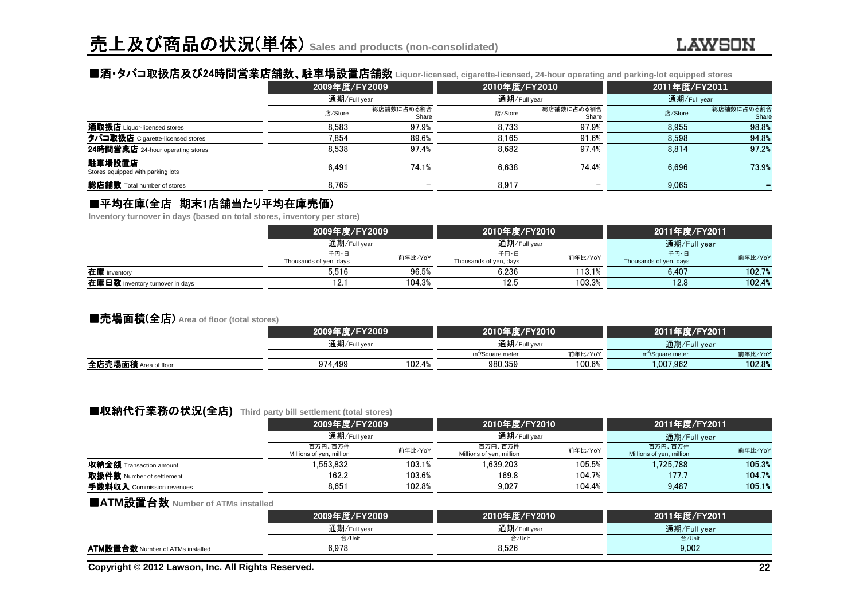### ■酒・タバコ取扱店及び24時間営業店舗数 時間営業店舗数、駐車場設置店舗数 、駐車場設置店舗数 **Liquor-licensed, cigarette-licensed, 24-hour operating and parking-lot equipped stores**

|                                             | 2009年度/FY2009 |                     | 2010年度/FY2010 |                     | 2011年度/FY2011 |                     |  |
|---------------------------------------------|---------------|---------------------|---------------|---------------------|---------------|---------------------|--|
|                                             | 通期/Full year  |                     | 通期/Full year  |                     | 通期/Full year  |                     |  |
|                                             | 店/Store       | 総店舗数に占める割合<br>Share | 店/Store       | 総店舗数に占める割合<br>Share | 店/Store       | 総店舗数に占める割合<br>Share |  |
| 酒取扱店 Liquor-licensed stores                 | 8.583         | 97.9%               | 8.733         | 97.9%               | 8.955         | 98.8%               |  |
| タバコ取扱店 Cigarette-licensed stores            | 7.854         | 89.6%               | 8.165         | 91.6%               | 8.598         | 94.8%               |  |
| 24時間営業店 24-hour operating stores            | 8.538         | 97.4%               | 8.682         | 97.4%               | 8.814         | 97.2%               |  |
| 駐車場設置店<br>Stores equipped with parking lots | 6.491         | 74.1%               | 6.638         | 74.4%               | 6.696         | 73.9%               |  |
| 総店舗数 Total number of stores                 | 8.765         |                     | 8.917         |                     | 9,065         |                     |  |

### ■平均在庫(全店 期末1店舗当たり平均在庫売価)<br>Inventory turnover in davs (based on total stores, inventory per

**Inventory turnover in days (based on total stores, inventory per store)**

|                                 | 2009年度/FY2009」                            |        | 2010年度/FY2010                  |         | 2011年度/FY2011                  |         |
|---------------------------------|-------------------------------------------|--------|--------------------------------|---------|--------------------------------|---------|
|                                 | 通期/Full year                              |        | 通期/Full year                   |         | 通期/Full year                   |         |
|                                 | 千円・日<br>前年比/YoY<br>Thousands of yen, days |        | 千円・日<br>Thousands of yen, days | 前年比/YoY | 千円・日<br>Thousands of yen, days | 前年比/YoY |
| 在庫 Inventory                    | 5.516                                     | 96.5%  | 6.236                          | 113.1%  | 6.407                          | 102.7%  |
| 在庫日数 Inventory turnover in days | 12.                                       | 104.3% | 12.5                           | 103.3%  | 12.8                           | 102.4%  |

#### ■売場面積(全店) **Area of floor (total stores)**

|                      | 2009年度/FY2009 |        | 2010年度/FY2010                |              | 2011年度/FY2011                |              |  |
|----------------------|---------------|--------|------------------------------|--------------|------------------------------|--------------|--|
|                      | 通期/Full year  |        |                              | 通期/Full year |                              | 通期/Full year |  |
|                      |               |        | m <sup>2</sup> /Square meter | 前年比/YoY      | m <sup>2</sup> /Square meter | 前年比/YoY      |  |
| 全店売場面積 Area of floor | 974.499       | 102.4% | 980.359                      | 100.6%       | 1.007.962                    | 102.8%       |  |
|                      |               |        |                              |              |                              |              |  |

### ■収納代行業務の状況(全店) Third party bill settlement (total stores)<br>2009年度/FY2009

|                                | 2009年度/FY2009                       |              | 2010年度/FY2010                       |              | 2011年度/FY2011                       |              |  |
|--------------------------------|-------------------------------------|--------------|-------------------------------------|--------------|-------------------------------------|--------------|--|
|                                |                                     | 通期/Full vear |                                     | 通期/Full year |                                     | 通期/Full year |  |
|                                | 百万円、百万件<br>Millions of yen, million | 前年比/YoY      | 百万円、百万件<br>Millions of yen, million | 前年比/YoY      | 百万円、百万件<br>Millions of yen, million | 前年比/YoY      |  |
| <b>収納金額</b> Transaction amount | 1.553.832                           | 103.1%       | .639.203                            | 105.5%       | 1.725.788                           | 105.3%       |  |
| 取扱件数 Number of settlement      | 162.2                               | 103.6%       | 169.8                               | 104.7%       | 177.7                               | 104.7%       |  |
| 手数料収入 Commission revenues      | 8.651                               | 102.8%       | 9.027                               | 104.4%       | 9.487                               | 105.1%       |  |
|                                |                                     |              |                                     |              |                                     |              |  |

### ■**ATM**設置台数 **Number of ATMs installed**

|                                         | 2009年度/FY2009 | 2010年度/FY2010 | 2011年度/FY2011 |
|-----------------------------------------|---------------|---------------|---------------|
|                                         | 通期/Full year  | 通期/Full year  | 通期/Full year  |
|                                         | 台/Unit        | 台/Unit        | 台/Unit        |
| <b>ATM設置台数</b> Number of ATMs installed | 6.978         | 8.526         | 9.002         |
|                                         |               |               |               |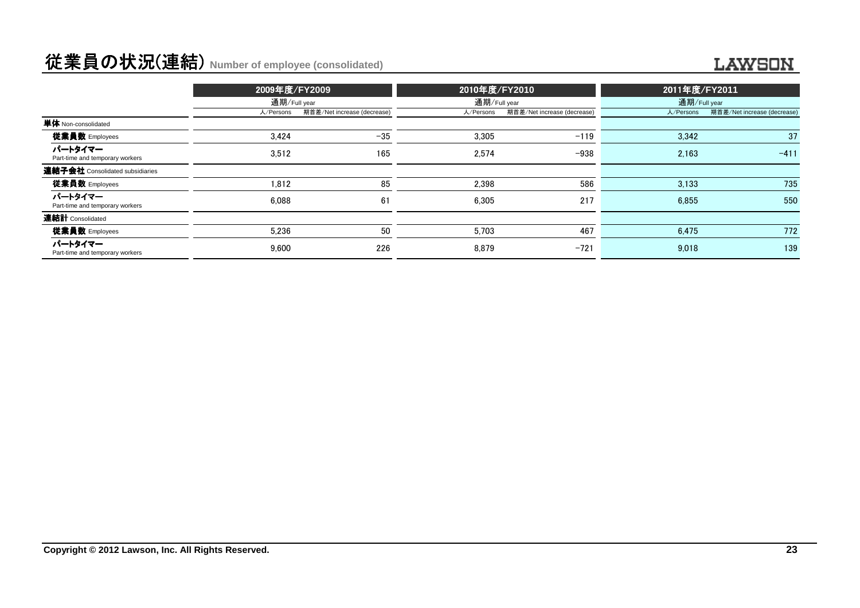### 従業員の状況(連結) **Number of employee (consolidated)**

#### **LAWSON**

|                                            | 2009年度/FY2009 |                             | 2010年度/FY2010 |                             | 2011年度/FY2011 |                             |  |
|--------------------------------------------|---------------|-----------------------------|---------------|-----------------------------|---------------|-----------------------------|--|
|                                            | 通期/Full year  |                             |               | 通期/Full year                |               | 通期/Full year                |  |
|                                            | 人/Persons     | 期首差/Net increase (decrease) | 人/Persons     | 期首差/Net increase (decrease) | 人/Persons     | 期首差/Net increase (decrease) |  |
| 単体 Non-consolidated                        |               |                             |               |                             |               |                             |  |
| 従業員数 Employees                             | 3.424         | $-35$                       | 3.305         | $-119$                      | 3,342         | 37                          |  |
| パートタイマー<br>Part-time and temporary workers | 3.512         | 165                         | 2.574         | $-938$                      | 2.163         | $-411$                      |  |
| 連結子会社 Consolidated subsidiaries            |               |                             |               |                             |               |                             |  |
| <b>従業員数</b> Employees                      | 1.812         | 85                          | 2.398         | 586                         | 3.133         | 735                         |  |
| パートタイマー<br>Part-time and temporary workers | 6.088         | 61                          | 6.305         | 217                         | 6.855         | 550                         |  |
| 連結計 Consolidated                           |               |                             |               |                             |               |                             |  |
| 従業員数 Employees                             | 5.236         | 50                          | 5.703         | 467                         | 6.475         | 772                         |  |
| パートタイマー<br>Part-time and temporary workers | 9.600         | 226                         | 8.879         | $-721$                      | 9.018         | 139                         |  |